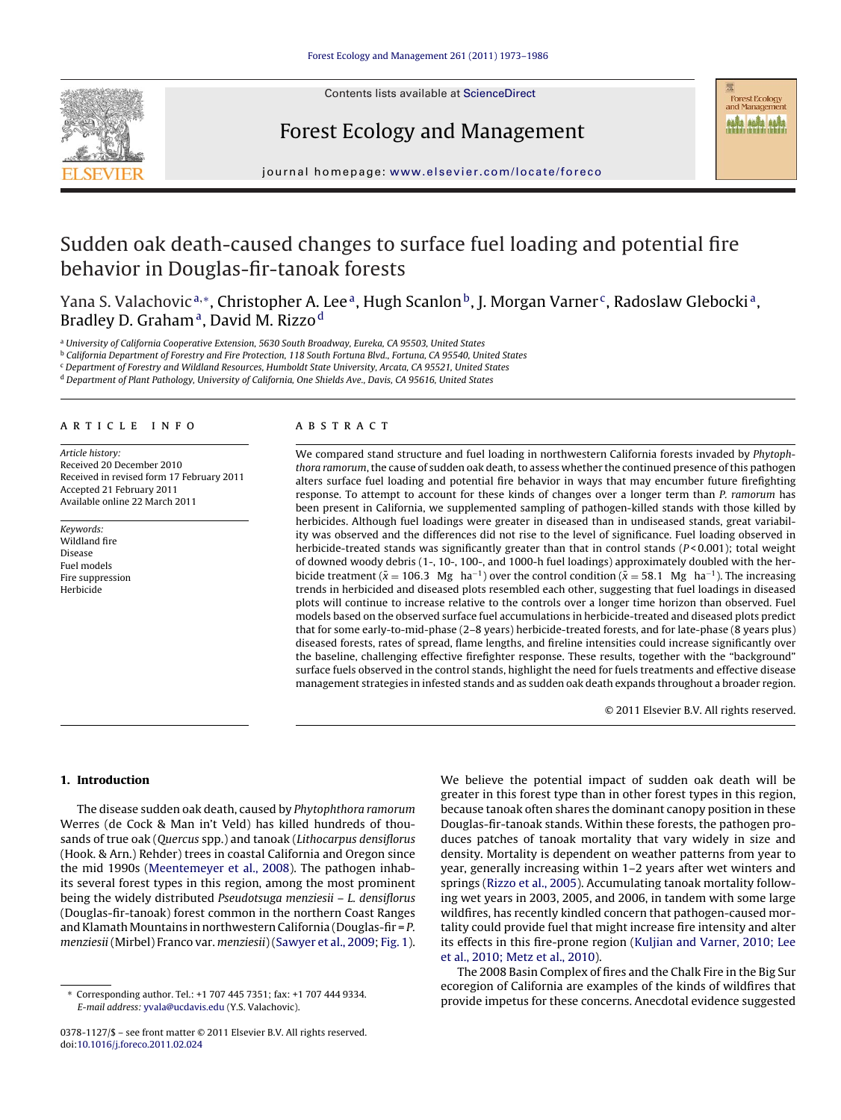

Contents lists available at [ScienceDirect](http://www.sciencedirect.com/science/journal/03781127)

# Forest Ecology and Management

**Forest Ecology** and Management **NARA NARA NARA** 

journal homepage: [www.elsevier.com/locate/foreco](http://www.elsevier.com/locate/foreco)

# Sudden oak death-caused changes to surface fuel loading and potential fire behavior in Douglas-fir-tanoak forests

Yana S. Valachovic<sup>a,∗</sup>, Christopher A. Lee<sup>a</sup>, Hugh Scanlon<sup>b</sup>, J. Morgan Varner<sup>c</sup>, Radoslaw Glebocki<sup>a</sup>, Bradley D. Graham<sup>a</sup>, David M. Rizzo<sup>d</sup>

<sup>a</sup> University of California Cooperative Extension, 5630 South Broadway, Eureka, CA 95503, United States

<sup>b</sup> California Department of Forestry and Fire Protection, 118 South Fortuna Blvd., Fortuna, CA 95540, United States

<sup>c</sup> Department of Forestry and Wildland Resources, Humboldt State University, Arcata, CA 95521, United States

<sup>d</sup> Department of Plant Pathology, University of California, One Shields Ave., Davis, CA 95616, United States

# article info

Article history: Received 20 December 2010 Received in revised form 17 February 2011 Accepted 21 February 2011 Available online 22 March 2011

Keywords: Wildland fire Disease Fuel models Fire suppression Herbicide

# **ABSTRACT**

We compared stand structure and fuel loading in northwestern California forests invaded by Phytophthora ramorum, the cause of sudden oak death, to assess whether the continued presence of this pathogen alters surface fuel loading and potential fire behavior in ways that may encumber future firefighting response. To attempt to account for these kinds of changes over a longer term than P. ramorum has been present in California, we supplemented sampling of pathogen-killed stands with those killed by herbicides. Although fuel loadings were greater in diseased than in undiseased stands, great variability was observed and the differences did not rise to the level of significance. Fuel loading observed in herbicide-treated stands was significantly greater than that in control stands  $(P < 0.001)$ ; total weight of downed woody debris (1-, 10-, 100-, and 1000-h fuel loadings) approximately doubled with the herbicide treatment ( $\bar{x} = 106.3$  Mg ha<sup>-1</sup>) over the control condition ( $\bar{x} = 58.1$  Mg ha<sup>-1</sup>). The increasing trends in herbicided and diseased plots resembled each other, suggesting that fuel loadings in diseased plots will continue to increase relative to the controls over a longer time horizon than observed. Fuel models based on the observed surface fuel accumulations in herbicide-treated and diseased plots predict that for some early-to-mid-phase (2–8 years) herbicide-treated forests, and for late-phase (8 years plus) diseased forests, rates of spread, flame lengths, and fireline intensities could increase significantly over the baseline, challenging effective firefighter response. These results, together with the "background" surface fuels observed in the control stands, highlight the need for fuels treatments and effective disease management strategies in infested stands and as sudden oak death expands throughout a broader region.

© 2011 Elsevier B.V. All rights reserved.

# **1. Introduction**

The disease sudden oak death, caused by Phytophthora ramorum Werres (de Cock & Man in't Veld) has killed hundreds of thousands of true oak (Quercus spp.) and tanoak (Lithocarpus densiflorus (Hook. & Arn.) Rehder) trees in coastal California and Oregon since the mid 1990s [\(Meentemeyer et al., 2008\).](#page-12-0) The pathogen inhabits several forest types in this region, among the most prominent being the widely distributed Pseudotsuga menziesii – L. densiflorus (Douglas-fir-tanoak) forest common in the northern Coast Ranges and Klamath Mountains in northwestern California (Douglas-fir = P. menziesii(Mirbel) Franco var. menziesii) ([Sawyer et al., 2009;](#page-12-0) [Fig. 1\).](#page-1-0) We believe the potential impact of sudden oak death will be greater in this forest type than in other forest types in this region, because tanoak often shares the dominant canopy position in these Douglas-fir-tanoak stands. Within these forests, the pathogen produces patches of tanoak mortality that vary widely in size and density. Mortality is dependent on weather patterns from year to year, generally increasing within 1–2 years after wet winters and springs ([Rizzo et al., 2005\).](#page-12-0) Accumulating tanoak mortality following wet years in 2003, 2005, and 2006, in tandem with some large wildfires, has recently kindled concern that pathogen-caused mortality could provide fuel that might increase fire intensity and alter its effects in this fire-prone region ([Kuljian and Varner, 2010; Lee](#page-12-0) [et al., 2010; Metz et al., 2010\).](#page-12-0)

The 2008 Basin Complex of fires and the Chalk Fire in the Big Sur ecoregion of California are examples of the kinds of wildfires that provide impetus for these concerns. Anecdotal evidence suggested

<sup>∗</sup> Corresponding author. Tel.: +1 707 445 7351; fax: +1 707 444 9334. E-mail address: [yvala@ucdavis.edu](mailto:yvala@ucdavis.edu) (Y.S. Valachovic).

<sup>0378-1127/\$ –</sup> see front matter © 2011 Elsevier B.V. All rights reserved. doi:[10.1016/j.foreco.2011.02.024](dx.doi.org/10.1016/j.foreco.2011.02.024)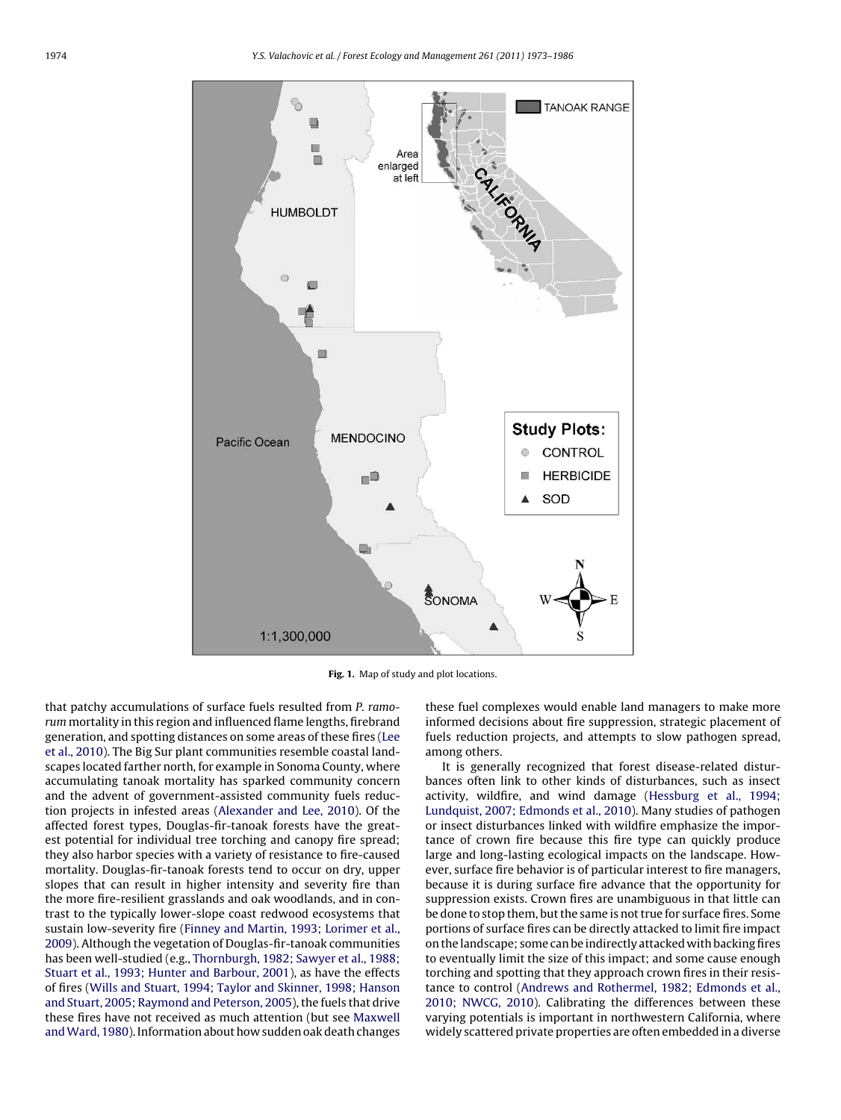<span id="page-1-0"></span>

**Fig. 1.** Map of study and plot locations.

that patchy accumulations of surface fuels resulted from P. ramorum mortality in this region and influenced flame lengths, firebrand generation, and spotting distances on some areas of these fires ([Lee](#page-12-0) [et al., 2010\).](#page-12-0) The Big Sur plant communities resemble coastal landscapes located farther north, for example in Sonoma County, where accumulating tanoak mortality has sparked community concern and the advent of government-assisted community fuels reduction projects in infested areas ([Alexander and Lee, 2010\).](#page-12-0) Of the affected forest types, Douglas-fir-tanoak forests have the greatest potential for individual tree torching and canopy fire spread; they also harbor species with a variety of resistance to fire-caused mortality. Douglas-fir-tanoak forests tend to occur on dry, upper slopes that can result in higher intensity and severity fire than the more fire-resilient grasslands and oak woodlands, and in contrast to the typically lower-slope coast redwood ecosystems that sustain low-severity fire ([Finney and Martin, 1993; Lorimer et al.,](#page-12-0) [2009\).](#page-12-0) Although the vegetation of Douglas-fir-tanoak communities has been well-studied (e.g., [Thornburgh, 1982; Sawyer et al., 1988;](#page-13-0) [Stuart et al., 1993; Hunter and Barbour, 2001\),](#page-13-0) as have the effects of fires ([Wills and Stuart, 1994; Taylor and Skinner, 1998; Hanson](#page-13-0) [and Stuart, 2005; Raymond and Peterson, 2005\),](#page-13-0) the fuels that drive these fires have not received as much attention (but see [Maxwell](#page-12-0) [andWard, 1980\).](#page-12-0) Information about how sudden oak death changes

these fuel complexes would enable land managers to make more informed decisions about fire suppression, strategic placement of fuels reduction projects, and attempts to slow pathogen spread, among others.

It is generally recognized that forest disease-related disturbances often link to other kinds of disturbances, such as insect activity, wildfire, and wind damage ([Hessburg et al., 1994;](#page-12-0) [Lundquist, 2007; Edmonds et al., 2010\).](#page-12-0) Many studies of pathogen or insect disturbances linked with wildfire emphasize the importance of crown fire because this fire type can quickly produce large and long-lasting ecological impacts on the landscape. However, surface fire behavior is of particular interest to fire managers, because it is during surface fire advance that the opportunity for suppression exists. Crown fires are unambiguous in that little can be done to stop them, but the same is not true for surface fires. Some portions of surface fires can be directly attacked to limit fire impact on the landscape; some can be indirectly attacked with backing fires to eventually limit the size of this impact; and some cause enough torching and spotting that they approach crown fires in their resistance to control [\(Andrews and Rothermel, 1982; Edmonds et al.,](#page-12-0) [2010; NWCG, 2010\).](#page-12-0) Calibrating the differences between these varying potentials is important in northwestern California, where widely scattered private properties are often embedded in a diverse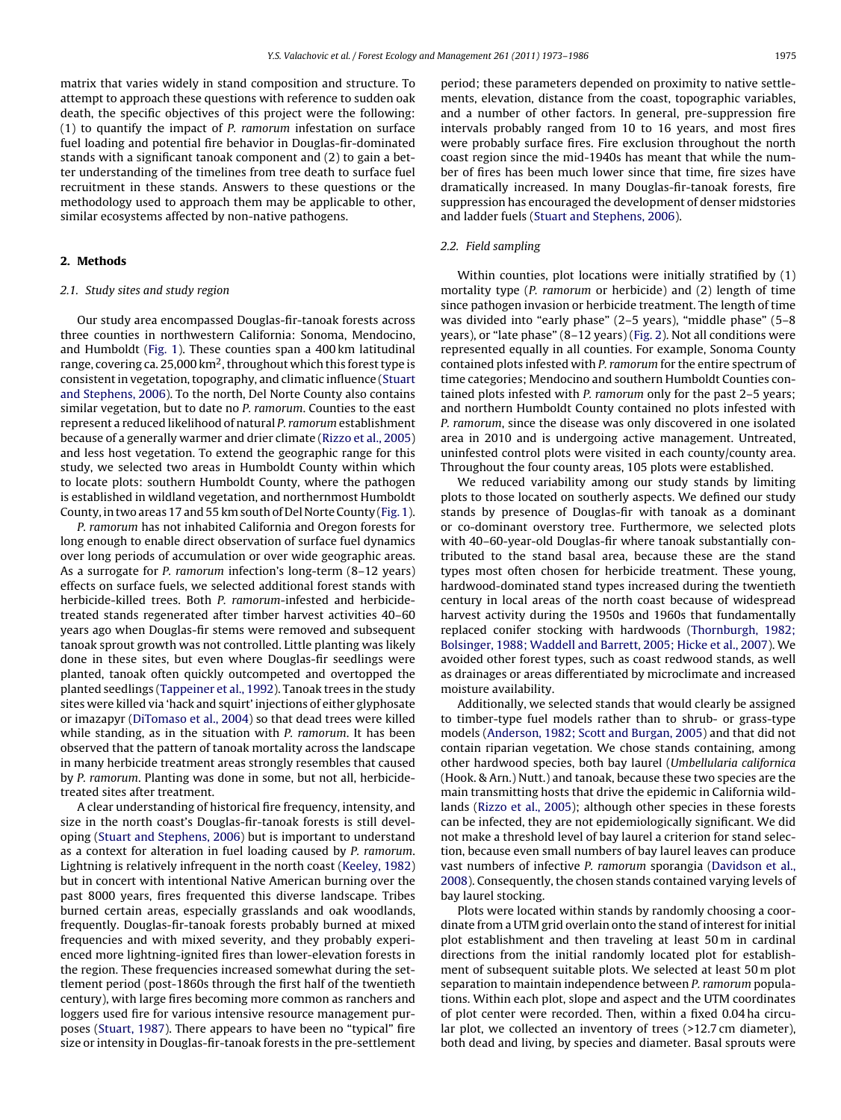matrix that varies widely in stand composition and structure. To attempt to approach these questions with reference to sudden oak death, the specific objectives of this project were the following: (1) to quantify the impact of P. ramorum infestation on surface fuel loading and potential fire behavior in Douglas-fir-dominated stands with a significant tanoak component and (2) to gain a better understanding of the timelines from tree death to surface fuel recruitment in these stands. Answers to these questions or the methodology used to approach them may be applicable to other, similar ecosystems affected by non-native pathogens.

# **2. Methods**

# 2.1. Study sites and study region

Our study area encompassed Douglas-fir-tanoak forests across three counties in northwestern California: Sonoma, Mendocino, and Humboldt [\(Fig. 1\).](#page-1-0) These counties span a 400 km latitudinal range, covering ca. 25,000 km<sup>2</sup>, throughout which this forest type is consistent in vegetation, topography, and climatic influence [\(Stuart](#page-13-0) [and Stephens, 2006\).](#page-13-0) To the north, Del Norte County also contains similar vegetation, but to date no P. ramorum. Counties to the east represent a reduced likelihood of natural P. ramorum establishment because of a generally warmer and drier climate [\(Rizzo et al., 2005\)](#page-12-0) and less host vegetation. To extend the geographic range for this study, we selected two areas in Humboldt County within which to locate plots: southern Humboldt County, where the pathogen is established in wildland vegetation, and northernmost Humboldt County, in two areas 17 and 55 km south of Del Norte County [\(Fig. 1\).](#page-1-0)

P. ramorum has not inhabited California and Oregon forests for long enough to enable direct observation of surface fuel dynamics over long periods of accumulation or over wide geographic areas. As a surrogate for P. ramorum infection's long-term (8–12 years) effects on surface fuels, we selected additional forest stands with herbicide-killed trees. Both P. ramorum-infested and herbicidetreated stands regenerated after timber harvest activities 40–60 years ago when Douglas-fir stems were removed and subsequent tanoak sprout growth was not controlled. Little planting was likely done in these sites, but even where Douglas-fir seedlings were planted, tanoak often quickly outcompeted and overtopped the planted seedlings ([Tappeiner et al., 1992\).](#page-13-0) Tanoak trees in the study sites were killed via 'hack and squirt' injections of either glyphosate or imazapyr [\(DiTomaso et al., 2004\)](#page-12-0) so that dead trees were killed while standing, as in the situation with *P. ramorum*. It has been observed that the pattern of tanoak mortality across the landscape in many herbicide treatment areas strongly resembles that caused by P. ramorum. Planting was done in some, but not all, herbicidetreated sites after treatment.

A clear understanding of historical fire frequency, intensity, and size in the north coast's Douglas-fir-tanoak forests is still developing ([Stuart and Stephens, 2006\)](#page-13-0) but is important to understand as a context for alteration in fuel loading caused by P. ramorum. Lightning is relatively infrequent in the north coast [\(Keeley, 1982\)](#page-12-0) but in concert with intentional Native American burning over the past 8000 years, fires frequented this diverse landscape. Tribes burned certain areas, especially grasslands and oak woodlands, frequently. Douglas-fir-tanoak forests probably burned at mixed frequencies and with mixed severity, and they probably experienced more lightning-ignited fires than lower-elevation forests in the region. These frequencies increased somewhat during the settlement period (post-1860s through the first half of the twentieth century), with large fires becoming more common as ranchers and loggers used fire for various intensive resource management purposes ([Stuart, 1987\).](#page-13-0) There appears to have been no "typical" fire size or intensity in Douglas-fir-tanoak forests in the pre-settlement period; these parameters depended on proximity to native settlements, elevation, distance from the coast, topographic variables, and a number of other factors. In general, pre-suppression fire intervals probably ranged from 10 to 16 years, and most fires were probably surface fires. Fire exclusion throughout the north coast region since the mid-1940s has meant that while the number of fires has been much lower since that time, fire sizes have dramatically increased. In many Douglas-fir-tanoak forests, fire suppression has encouraged the development of denser midstories and ladder fuels [\(Stuart and Stephens, 2006\).](#page-13-0)

# 2.2. Field sampling

Within counties, plot locations were initially stratified by (1) mortality type (P. ramorum or herbicide) and (2) length of time since pathogen invasion or herbicide treatment. The length of time was divided into "early phase" (2–5 years), "middle phase" (5–8 years), or "late phase" (8–12 years) [\(Fig. 2\).](#page-3-0) Not all conditions were represented equally in all counties. For example, Sonoma County contained plots infested with P. ramorum for the entire spectrum of time categories; Mendocino and southern Humboldt Counties contained plots infested with P. ramorum only for the past 2–5 years; and northern Humboldt County contained no plots infested with P. ramorum, since the disease was only discovered in one isolated area in 2010 and is undergoing active management. Untreated, uninfested control plots were visited in each county/county area. Throughout the four county areas, 105 plots were established.

We reduced variability among our study stands by limiting plots to those located on southerly aspects. We defined our study stands by presence of Douglas-fir with tanoak as a dominant or co-dominant overstory tree. Furthermore, we selected plots with 40–60-year-old Douglas-fir where tanoak substantially contributed to the stand basal area, because these are the stand types most often chosen for herbicide treatment. These young, hardwood-dominated stand types increased during the twentieth century in local areas of the north coast because of widespread harvest activity during the 1950s and 1960s that fundamentally replaced conifer stocking with hardwoods ([Thornburgh, 1982;](#page-13-0) [Bolsinger, 1988; Waddell and Barrett, 2005; Hicke et al., 2007\).](#page-13-0) We avoided other forest types, such as coast redwood stands, as well as drainages or areas differentiated by microclimate and increased moisture availability.

Additionally, we selected stands that would clearly be assigned to timber-type fuel models rather than to shrub- or grass-type models [\(Anderson, 1982; Scott and Burgan, 2005\) a](#page-12-0)nd that did not contain riparian vegetation. We chose stands containing, among other hardwood species, both bay laurel (Umbellularia californica (Hook. & Arn.) Nutt.) and tanoak, because these two species are the main transmitting hosts that drive the epidemic in California wildlands ([Rizzo et al., 2005\);](#page-12-0) although other species in these forests can be infected, they are not epidemiologically significant. We did not make a threshold level of bay laurel a criterion for stand selection, because even small numbers of bay laurel leaves can produce vast numbers of infective P. ramorum sporangia [\(Davidson et al.,](#page-12-0) [2008\).](#page-12-0) Consequently, the chosen stands contained varying levels of bay laurel stocking.

Plots were located within stands by randomly choosing a coordinate from a UTM grid overlain onto the stand of interest for initial plot establishment and then traveling at least 50 m in cardinal directions from the initial randomly located plot for establishment of subsequent suitable plots. We selected at least 50 m plot separation to maintain independence between P. ramorum populations. Within each plot, slope and aspect and the UTM coordinates of plot center were recorded. Then, within a fixed 0.04 ha circular plot, we collected an inventory of trees (>12.7 cm diameter), both dead and living, by species and diameter. Basal sprouts were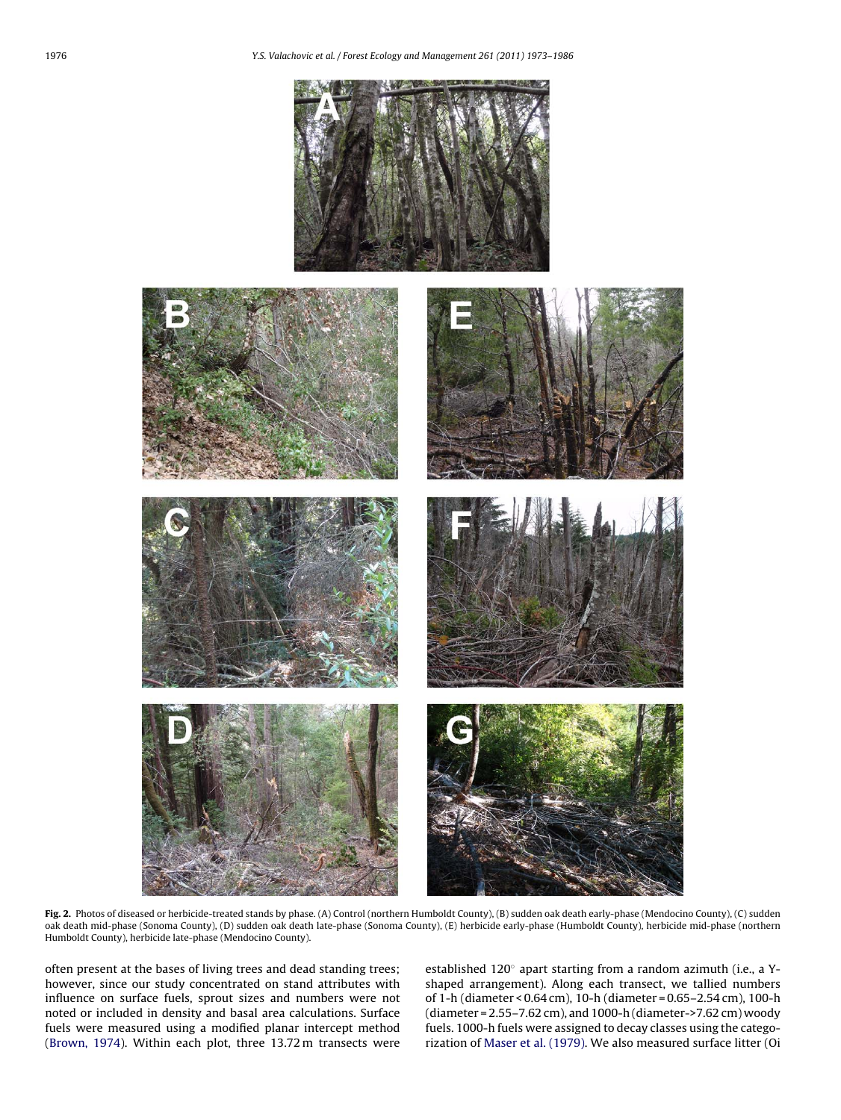<span id="page-3-0"></span>

**Fig. 2.** Photos of diseased or herbicide-treated stands by phase. (A) Control (northern Humboldt County), (B) sudden oak death early-phase (Mendocino County), (C) sudden oak death mid-phase (Sonoma County), (D) sudden oak death late-phase (Sonoma County), (E) herbicide early-phase (Humboldt County), herbicide mid-phase (northern Humboldt County), herbicide late-phase (Mendocino County).

often present at the bases of living trees and dead standing trees; however, since our study concentrated on stand attributes with influence on surface fuels, sprout sizes and numbers were not noted or included in density and basal area calculations. Surface fuels were measured using a modified planar intercept method ([Brown, 1974\).](#page-12-0) Within each plot, three 13.72 m transects were established 120◦ apart starting from a random azimuth (i.e., a Yshaped arrangement). Along each transect, we tallied numbers of 1-h (diameter < 0.64 cm), 10-h (diameter = 0.65–2.54 cm), 100-h (diameter = 2.55–7.62 cm), and 1000-h (diameter->7.62 cm) woody fuels. 1000-h fuels were assigned to decay classes using the categorization of [Maser et al. \(1979\). W](#page-12-0)e also measured surface litter (Oi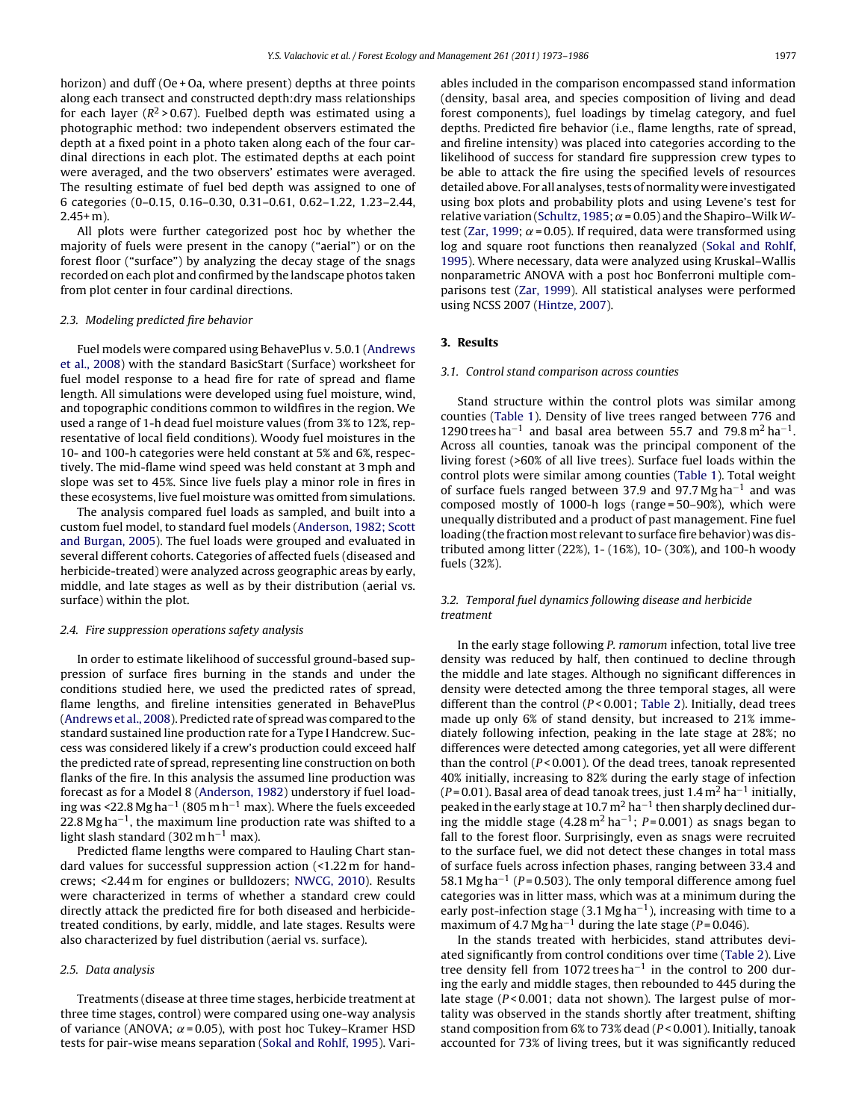horizon) and duff (Oe + Oa, where present) depths at three points along each transect and constructed depth:dry mass relationships for each layer ( $R^2 > 0.67$ ). Fuelbed depth was estimated using a photographic method: two independent observers estimated the depth at a fixed point in a photo taken along each of the four cardinal directions in each plot. The estimated depths at each point were averaged, and the two observers' estimates were averaged. The resulting estimate of fuel bed depth was assigned to one of 6 categories (0–0.15, 0.16–0.30, 0.31–0.61, 0.62–1.22, 1.23–2.44,  $2.45 + m$ ).

All plots were further categorized post hoc by whether the majority of fuels were present in the canopy ("aerial") or on the forest floor ("surface") by analyzing the decay stage of the snags recorded on each plot and confirmed by the landscape photos taken from plot center in four cardinal directions.

# 2.3. Modeling predicted fire behavior

Fuel models were compared using BehavePlus v. 5.0.1 [\(Andrews](#page-12-0) [et al., 2008\)](#page-12-0) with the standard BasicStart (Surface) worksheet for fuel model response to a head fire for rate of spread and flame length. All simulations were developed using fuel moisture, wind, and topographic conditions common to wildfires in the region. We used a range of 1-h dead fuel moisture values (from 3% to 12%, representative of local field conditions). Woody fuel moistures in the 10- and 100-h categories were held constant at 5% and 6%, respectively. The mid-flame wind speed was held constant at 3 mph and slope was set to 45%. Since live fuels play a minor role in fires in these ecosystems, live fuel moisture was omitted from simulations.

The analysis compared fuel loads as sampled, and built into a custom fuel model, to standard fuel models ([Anderson, 1982; Scott](#page-12-0) [and Burgan, 2005\).](#page-12-0) The fuel loads were grouped and evaluated in several different cohorts. Categories of affected fuels (diseased and herbicide-treated) were analyzed across geographic areas by early, middle, and late stages as well as by their distribution (aerial vs. surface) within the plot.

#### 2.4. Fire suppression operations safety analysis

In order to estimate likelihood of successful ground-based suppression of surface fires burning in the stands and under the conditions studied here, we used the predicted rates of spread, flame lengths, and fireline intensities generated in BehavePlus ([Andrews et al., 2008\).](#page-12-0) Predicted rate of spread was compared to the standard sustained line production rate for a Type I Handcrew. Success was considered likely if a crew's production could exceed half the predicted rate of spread, representing line construction on both flanks of the fire. In this analysis the assumed line production was forecast as for a Model 8 [\(Anderson, 1982\)](#page-12-0) understory if fuel loading was <22.8 Mg ha<sup>-1</sup> (805 m h<sup>-1</sup> max). Where the fuels exceeded 22.8 Mg ha<sup> $-1$ </sup>, the maximum line production rate was shifted to a light slash standard (302 m h<sup>-1</sup> max).

Predicted flame lengths were compared to Hauling Chart standard values for successful suppression action (<1.22 m for handcrews; <2.44 m for engines or bulldozers; [NWCG, 2010\).](#page-12-0) Results were characterized in terms of whether a standard crew could directly attack the predicted fire for both diseased and herbicidetreated conditions, by early, middle, and late stages. Results were also characterized by fuel distribution (aerial vs. surface).

# 2.5. Data analysis

Treatments (disease at three time stages, herbicide treatment at three time stages, control) were compared using one-way analysis of variance (ANOVA;  $\alpha$  = 0.05), with post hoc Tukey–Kramer HSD tests for pair-wise means separation [\(Sokal and Rohlf, 1995\).](#page-13-0) Variables included in the comparison encompassed stand information (density, basal area, and species composition of living and dead forest components), fuel loadings by timelag category, and fuel depths. Predicted fire behavior (i.e., flame lengths, rate of spread, and fireline intensity) was placed into categories according to the likelihood of success for standard fire suppression crew types to be able to attack the fire using the specified levels of resources detailed above. For all analyses, tests of normality were investigated using box plots and probability plots and using Levene's test for relative variation [\(Schultz, 1985;](#page-12-0)  $\alpha$  = 0.05) and the Shapiro–Wilk W-test ([Zar, 1999;](#page-13-0)  $\alpha$  = 0.05). If required, data were transformed using log and square root functions then reanalyzed ([Sokal and Rohlf,](#page-13-0) [1995\).](#page-13-0) Where necessary, data were analyzed using Kruskal–Wallis nonparametric ANOVA with a post hoc Bonferroni multiple comparisons test ([Zar, 1999\).](#page-13-0) All statistical analyses were performed using NCSS 2007 [\(Hintze, 2007\).](#page-12-0)

# **3. Results**

# 3.1. Control stand comparison across counties

Stand structure within the control plots was similar among counties [\(Table 1\).](#page-5-0) Density of live trees ranged between 776 and 1290 trees ha<sup>-1</sup> and basal area between 55.7 and 79.8 m<sup>2</sup> ha<sup>-1</sup>. Across all counties, tanoak was the principal component of the living forest (>60% of all live trees). Surface fuel loads within the control plots were similar among counties [\(Table 1\).](#page-5-0) Total weight of surface fuels ranged between 37.9 and 97.7 Mg ha−<sup>1</sup> and was composed mostly of 1000-h logs (range = 50–90%), which were unequally distributed and a product of past management. Fine fuel loading (the fraction most relevant to surface fire behavior) was distributed among litter (22%), 1- (16%), 10- (30%), and 100-h woody fuels (32%).

# 3.2. Temporal fuel dynamics following disease and herbicide treatment

In the early stage following P. ramorum infection, total live tree density was reduced by half, then continued to decline through the middle and late stages. Although no significant differences in density were detected among the three temporal stages, all were different than the control ( $P < 0.001$ ; [Table 2\).](#page-6-0) Initially, dead trees made up only 6% of stand density, but increased to 21% immediately following infection, peaking in the late stage at 28%; no differences were detected among categories, yet all were different than the control ( $P < 0.001$ ). Of the dead trees, tanoak represented 40% initially, increasing to 82% during the early stage of infection (P = 0.01). Basal area of dead tanoak trees, just  $1.4 \text{ m}^2$  ha<sup>-1</sup> initially, peaked in the early stage at 10.7  $m<sup>2</sup>$  ha<sup>-1</sup> then sharply declined during the middle stage  $(4.28 \text{ m}^2 \text{ ha}^{-1})$ ; P = 0.001) as snags began to fall to the forest floor. Surprisingly, even as snags were recruited to the surface fuel, we did not detect these changes in total mass of surface fuels across infection phases, ranging between 33.4 and 58.1 Mg ha<sup>-1</sup> ( $P = 0.503$ ). The only temporal difference among fuel categories was in litter mass, which was at a minimum during the early post-infection stage (3.1 Mg ha<sup>-1</sup>), increasing with time to a maximum of 4.7 Mg ha<sup>-1</sup> during the late stage ( $P = 0.046$ ).

In the stands treated with herbicides, stand attributes deviated significantly from control conditions over time ([Table 2\).](#page-6-0) Live tree density fell from 1072 trees ha−<sup>1</sup> in the control to 200 during the early and middle stages, then rebounded to 445 during the late stage ( $P < 0.001$ ; data not shown). The largest pulse of mortality was observed in the stands shortly after treatment, shifting stand composition from 6% to 73% dead (P < 0.001). Initially, tanoak accounted for 73% of living trees, but it was significantly reduced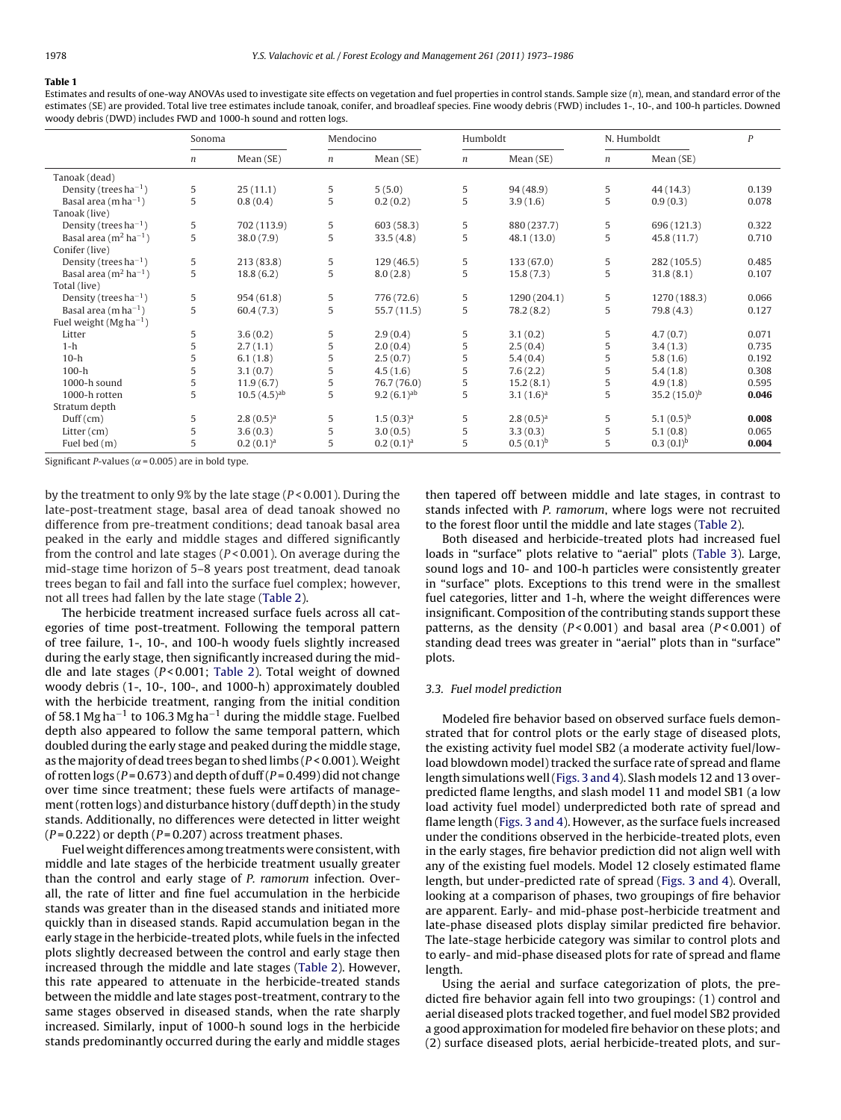#### <span id="page-5-0"></span>**Table 1**

Estimates and results of one-way ANOVAs used to investigate site effects on vegetation and fuel properties in control stands. Sample size (n), mean, and standard error of the estimates (SE) are provided. Total live tree estimates include tanoak, conifer, and broadleaf species. Fine woody debris (FWD) includes 1-, 10-, and 100-h particles. Downed woody debris (DWD) includes FWD and 1000-h sound and rotten logs.

|                                       | Sonoma           |                  | Mendocino     |                 | Humboldt      |                | N. Humboldt      | $\boldsymbol{P}$ |       |
|---------------------------------------|------------------|------------------|---------------|-----------------|---------------|----------------|------------------|------------------|-------|
|                                       | $\boldsymbol{n}$ | Mean (SE)        | $\mathfrak n$ | Mean (SE)       | $\mathfrak n$ | Mean (SE)      | $\boldsymbol{n}$ | Mean (SE)        |       |
| Tanoak (dead)                         |                  |                  |               |                 |               |                |                  |                  |       |
| Density (trees $ha^{-1}$ )            | 5                | 25(11.1)         | 5             | 5(5.0)          | 5             | 94 (48.9)      | 5                | 44 (14.3)        | 0.139 |
| Basal area (m $ha^{-1}$ )             | 5                | 0.8(0.4)         | 5             | 0.2(0.2)        | 5             | 3.9(1.6)       | 5                | 0.9(0.3)         | 0.078 |
| Tanoak (live)                         |                  |                  |               |                 |               |                |                  |                  |       |
| Density (trees $ha^{-1}$ )            | 5                | 702 (113.9)      | 5             | 603(58.3)       | 5             | 880 (237.7)    | 5                | 696 (121.3)      | 0.322 |
| Basal area $(m^2 ha^{-1})$            | 5                | 38.0(7.9)        | 5             | 33.5(4.8)       | 5             | 48.1(13.0)     | 5                | 45.8 (11.7)      | 0.710 |
| Conifer (live)                        |                  |                  |               |                 |               |                |                  |                  |       |
| Density (trees $ha^{-1}$ )            | 5                | 213(83.8)        | 5             | 129(46.5)       | 5             | 133(67.0)      | 5                | 282 (105.5)      | 0.485 |
| Basal area $(m^2 ha^{-1})$            | 5                | 18.8(6.2)        | 5             | 8.0(2.8)        | 5             | 15.8(7.3)      | 5                | 31.8(8.1)        | 0.107 |
| Total (live)                          |                  |                  |               |                 |               |                |                  |                  |       |
| Density (trees $ha^{-1}$ )            | 5                | 954(61.8)        | 5             | 776 (72.6)      | 5             | 1290 (204.1)   | 5                | 1270 (188.3)     | 0.066 |
| Basal area (m $ha^{-1}$ )             | 5                | 60.4(7.3)        | 5             | 55.7 (11.5)     | 5             | 78.2(8.2)      | 5                | 79.8 (4.3)       | 0.127 |
| Fuel weight ( $Mg$ ha <sup>-1</sup> ) |                  |                  |               |                 |               |                |                  |                  |       |
| Litter                                | 5                | 3.6(0.2)         | 5             | 2.9(0.4)        | 5             | 3.1(0.2)       | 5                | 4.7(0.7)         | 0.071 |
| $1-h$                                 | 5                | 2.7(1.1)         | 5             | 2.0(0.4)        | 5             | 2.5(0.4)       | 5                | 3.4(1.3)         | 0.735 |
| $10-h$                                | 5                | 6.1(1.8)         | 5             | 2.5(0.7)        | 5             | 5.4(0.4)       |                  | 5.8(1.6)         | 0.192 |
| $100-h$                               | 5                | 3.1(0.7)         | 5             | 4.5(1.6)        | 5             | 7.6(2.2)       | 5                | 5.4(1.8)         | 0.308 |
| 1000-h sound                          | 5                | 11.9(6.7)        | 5             | 76.7 (76.0)     | 5             | 15.2(8.1)      | 5                | 4.9(1.8)         | 0.595 |
| 1000-h rotten                         | 5                | $10.5(4.5)^{ab}$ | 5             | $9.2(6.1)^{ab}$ | 5             | $3.1(1.6)^a$   | 5                | $35.2(15.0)^{b}$ | 0.046 |
| Stratum depth                         |                  |                  |               |                 |               |                |                  |                  |       |
| $Duff$ (cm)                           | 5                | $2.8(0.5)^a$     | 5             | $1.5(0.3)^a$    | 5             | $2.8(0.5)^{a}$ | 5                | 5.1 $(0.5)^{b}$  | 0.008 |
| Litter $(cm)$                         | 5                | 3.6(0.3)         | 5             | 3.0(0.5)        | 5             | 3.3(0.3)       | 5                | 5.1(0.8)         | 0.065 |
| Fuel bed (m)                          | 5                | $0.2(0.1)^a$     | 5             | $0.2(0.1)^a$    | 5             | $0.5(0.1)^{b}$ | 5                | $(0.3(0.1)^{b})$ | 0.004 |

Significant P-values ( $\alpha$ = 0.005) are in bold type.

by the treatment to only 9% by the late stage  $(P< 0.001)$ . During the late-post-treatment stage, basal area of dead tanoak showed no difference from pre-treatment conditions; dead tanoak basal area peaked in the early and middle stages and differed significantly from the control and late stages ( $P < 0.001$ ). On average during the mid-stage time horizon of 5–8 years post treatment, dead tanoak trees began to fail and fall into the surface fuel complex; however, not all trees had fallen by the late stage [\(Table 2\).](#page-6-0)

The herbicide treatment increased surface fuels across all categories of time post-treatment. Following the temporal pattern of tree failure, 1-, 10-, and 100-h woody fuels slightly increased during the early stage, then significantly increased during the middle and late stages (P < 0.001; [Table 2\).](#page-6-0) Total weight of downed woody debris (1-, 10-, 100-, and 1000-h) approximately doubled with the herbicide treatment, ranging from the initial condition of 58.1 Mg ha<sup>-1</sup> to 106.3 Mg ha<sup>-1</sup> during the middle stage. Fuelbed depth also appeared to follow the same temporal pattern, which doubled during the early stage and peaked during the middle stage, as the majority of dead trees began to shed limbs (P < 0.001).Weight of rotten logs ( $P = 0.673$ ) and depth of duff ( $P = 0.499$ ) did not change over time since treatment; these fuels were artifacts of management (rotten logs) and disturbance history (duff depth) in the study stands. Additionally, no differences were detected in litter weight  $(P=0.222)$  or depth  $(P=0.207)$  across treatment phases.

Fuel weight differences among treatments were consistent, with middle and late stages of the herbicide treatment usually greater than the control and early stage of P. ramorum infection. Overall, the rate of litter and fine fuel accumulation in the herbicide stands was greater than in the diseased stands and initiated more quickly than in diseased stands. Rapid accumulation began in the early stage in the herbicide-treated plots, while fuels in the infected plots slightly decreased between the control and early stage then increased through the middle and late stages [\(Table 2\).](#page-6-0) However, this rate appeared to attenuate in the herbicide-treated stands between the middle and late stages post-treatment, contrary to the same stages observed in diseased stands, when the rate sharply increased. Similarly, input of 1000-h sound logs in the herbicide stands predominantly occurred during the early and middle stages

then tapered off between middle and late stages, in contrast to stands infected with P. ramorum, where logs were not recruited to the forest floor until the middle and late stages ([Table 2\).](#page-6-0)

Both diseased and herbicide-treated plots had increased fuel loads in "surface" plots relative to "aerial" plots ([Table 3\).](#page-7-0) Large, sound logs and 10- and 100-h particles were consistently greater in "surface" plots. Exceptions to this trend were in the smallest fuel categories, litter and 1-h, where the weight differences were insignificant. Composition of the contributing stands support these patterns, as the density ( $P < 0.001$ ) and basal area ( $P < 0.001$ ) of standing dead trees was greater in "aerial" plots than in "surface" plots.

# 3.3. Fuel model prediction

Modeled fire behavior based on observed surface fuels demonstrated that for control plots or the early stage of diseased plots, the existing activity fuel model SB2 (a moderate activity fuel/lowload blowdown model) tracked the surface rate of spread and flame length simulations well ([Figs. 3 and 4\). S](#page-8-0)lash models 12 and 13 overpredicted flame lengths, and slash model 11 and model SB1 (a low load activity fuel model) underpredicted both rate of spread and flame length ([Figs. 3 and 4\).](#page-8-0) However, as the surface fuels increased under the conditions observed in the herbicide-treated plots, even in the early stages, fire behavior prediction did not align well with any of the existing fuel models. Model 12 closely estimated flame length, but under-predicted rate of spread ([Figs. 3 and 4\).](#page-8-0) Overall, looking at a comparison of phases, two groupings of fire behavior are apparent. Early- and mid-phase post-herbicide treatment and late-phase diseased plots display similar predicted fire behavior. The late-stage herbicide category was similar to control plots and to early- and mid-phase diseased plots for rate of spread and flame length.

Using the aerial and surface categorization of plots, the predicted fire behavior again fell into two groupings: (1) control and aerial diseased plots tracked together, and fuel model SB2 provided a good approximation for modeled fire behavior on these plots; and (2) surface diseased plots, aerial herbicide-treated plots, and sur-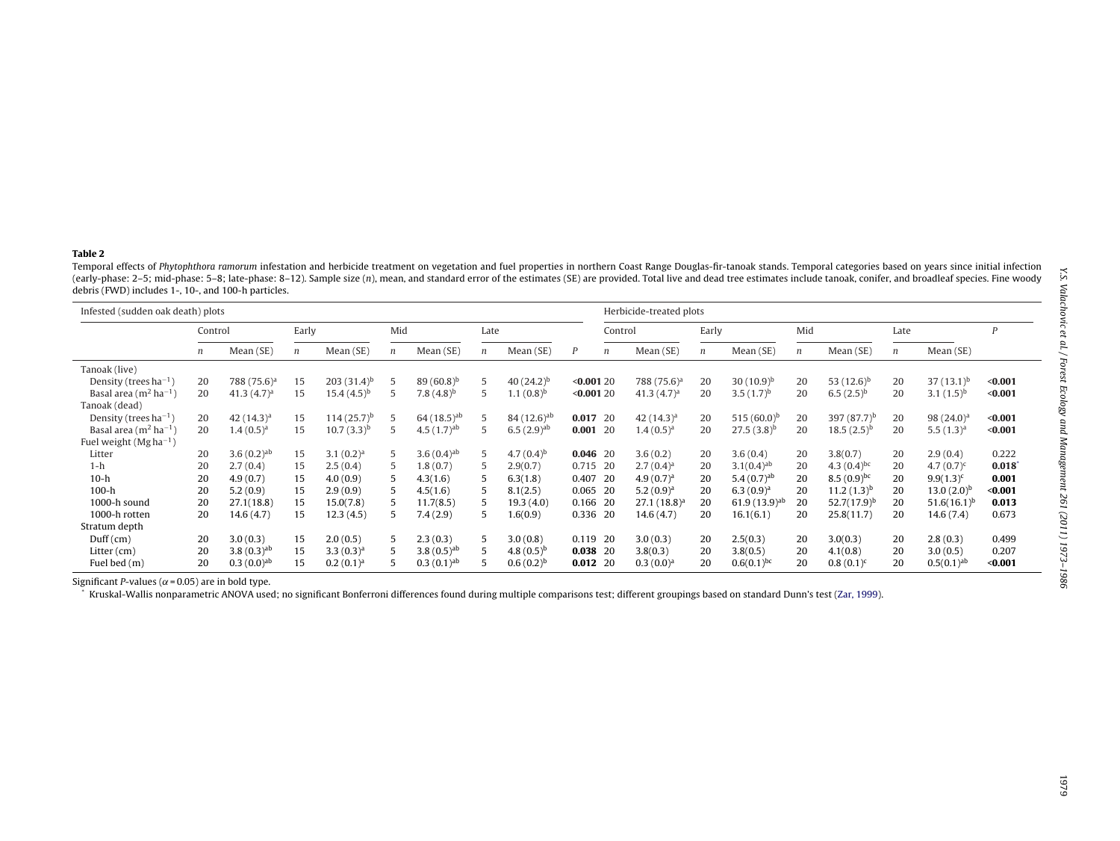# <span id="page-6-0"></span>**Table 2**

Temporal effects of Phytophthora ramorum infestation and herbicide treatment on vegetation and fuel properties in northern Coast Range Douglas-fir-tanoak stands. Temporal categories based on years since initial infection (early-phase: 2-5; mid-phase: 5-8; late-phase: 8-12). Sample size (n), mean, and standard error of the estimates (SE) are provided. Total live and dead tree estimates include tanoak, conifer, and broadleaf species. Fine wo debris (FWD) includes 1-, 10-, and 100-h particles.

| Infested (sudden oak death) plots     |         |                         |                  |                 |     |                          |      |                  | Herbicide-treated plots |                  |                         |                  |                   |                  |                           |                  |                          |              |
|---------------------------------------|---------|-------------------------|------------------|-----------------|-----|--------------------------|------|------------------|-------------------------|------------------|-------------------------|------------------|-------------------|------------------|---------------------------|------------------|--------------------------|--------------|
|                                       | Control |                         | Early            |                 | Mid |                          | Late |                  |                         |                  | Control                 |                  | Early             |                  | Mid                       |                  |                          | $\mathbf{D}$ |
|                                       | n       | Mean (SE)               | $\boldsymbol{n}$ | Mean (SE)       |     | Mean (SE)                |      | Mean (SE)        | P                       | $\boldsymbol{n}$ | Mean (SE)               | $\boldsymbol{n}$ | Mean (SE)         | $\boldsymbol{n}$ | Mean (SE)                 | $\boldsymbol{n}$ | Mean (SE)                |              |
| Tanoak (live)                         |         |                         |                  |                 |     |                          |      |                  |                         |                  |                         |                  |                   |                  |                           |                  |                          |              |
| Density (trees ha <sup>-1</sup> )     | 20      | 788 (75.6) <sup>a</sup> | 15               | $203(31.4)^{b}$ |     | $89(60.8)^b$             | 5    | $40(24.2)^{b}$   | < 0.00120               |                  | 788 (75.6) <sup>a</sup> | 20               | $30(10.9)^{b}$    | 20               | 53 $(12.6)^{b}$           | 20               | $37(13.1)^b$             | $0.001$      |
| Basal area ( $m2$ ha <sup>-1</sup> )  | 20      | $41.3(4.7)^a$           | 15               | $15.4(4.5)^{b}$ |     | 7.8 $(4.8)^{b}$          | 5    | $1.1(0.8)^{b}$   | <0.00120                |                  | 41.3 $(4.7)^a$          | 20               | $3.5(1.7)^{b}$    | 20               | $6.5(2.5)^{b}$            | 20               | $3.1(1.5)^{b}$           | $0.001$      |
| Tanoak (dead)                         |         |                         |                  |                 |     |                          |      |                  |                         |                  |                         |                  |                   |                  |                           |                  |                          |              |
| Density (trees ha <sup>-1</sup> )     | 20      | $42(14.3)^a$            | 15               | $114(25.7)^{b}$ |     | $64(18.5)$ <sup>ab</sup> | 5    | $84(12.6)^{ab}$  | $0.017$ 20              |                  | $42(14.3)$ <sup>a</sup> | 20               | $515(60.0)^{b}$   | 20               | $397(87.7)^{b}$           | 20               | $98(24.0)^a$             | < 0.001      |
| Basal area ( $m2$ ha <sup>-1</sup>    | 20      | $1.4(0.5)^a$            | 15               | $10.7(3.3)^{b}$ |     | $4.5(1.7)^{ab}$          | 5    | $6.5(2.9)^{ab}$  | $0.001$ 20              |                  | $1.4(0.5)^a$            | 20               | $(27.5(3.8)^{b})$ | 20               | $18.5(2.5)^{b}$           | 20               | $5.5(1.3)^a$             | $0.001$      |
| Fuel weight ( $Mg$ ha <sup>-1</sup> ) |         |                         |                  |                 |     |                          |      |                  |                         |                  |                         |                  |                   |                  |                           |                  |                          |              |
| Litter                                | 20      | 3.6(0.2) <sup>ab</sup>  | 15               | $3.1(0.2)^a$    | 5.  | $3.6(0.4)$ <sup>ab</sup> | 5    | $(4.7(0.4)^{b})$ | 0.046 20                |                  | 3.6(0.2)                | 20               | 3.6(0.4)          | 20               | 3.8(0.7)                  | 20               | 2.9(0.4)                 | 0.222        |
| 1-h                                   | 20      | 2.7(0.4)                | 15               | 2.5(0.4)        |     | 1.8(0.7)                 |      | 2.9(0.7)         | 0.715 20                |                  | $2.7(0.4)^a$            | 20               | $3.1(0.4)^{ab}$   | 20               | 4.3 $(0.4)$ <sup>bc</sup> | 20               | $4.7(0.7)^c$             | 0.018        |
| $10-h$                                | 20      | 4.9(0.7)                | 15               | 4.0(0.9)        |     | 4.3(1.6)                 |      | 6.3(1.8)         | 0.407                   | -20              | $4.9(0.7)^a$            | 20               | $5.4(0.7)^{ab}$   | 20               | $8.5(0.9)^{bc}$           | 20               | $9.9(1.3)^c$             | 0.001        |
| $100-h$                               | 20      | 5.2(0.9)                | 15               | 2.9(0.9)        |     | 4.5(1.6)                 |      | 8.1(2.5)         | 0.065 20                |                  | $5.2(0.9)^a$            | 20               | $(6.3(0.9)^a$     | 20               | $11.2(1.3)^{b}$           | 20               | $13.0(2.0)^{b}$          | $0.001$      |
| 1000-h sound                          | 20      | 27.1(18.8)              | 15               | 15.0(7.8)       |     | 11.7(8.5)                | 5    | 19.3(4.0)        | 0.166 20                |                  | $27.1(18.8)^a$          | 20               | $61.9(13.9)^{al}$ | 20               | $52.7(17.9)^{b}$          | 20               | $51.6(16.1)^t$           | 0.013        |
| 1000-h rotten                         | 20      | 14.6(4.7)               | 15               | 12.3(4.5)       |     | 7.4(2.9)                 | 5    | 1.6(0.9)         | 0.336 20                |                  | 14.6(4.7)               | 20               | 16.1(6.1)         | 20               | 25.8(11.7)                | 20               | 14.6(7.4)                | 0.673        |
| Stratum depth                         |         |                         |                  |                 |     |                          |      |                  |                         |                  |                         |                  |                   |                  |                           |                  |                          |              |
| $Duff$ (cm)                           | 20      | 3.0(0.3)                | 15               | 2.0(0.5)        |     | 2.3(0.3)                 | 5    | 3.0(0.8)         | 0.119 20                |                  | 3.0(0.3)                | 20               | 2.5(0.3)          | 20               | 3.0(0.3)                  | 20               | 2.8(0.3)                 | 0.499        |
| Litter (cm)                           | 20      | $3.8(0.3)^{ab}$         | 15               | $(0.3)^a$       |     | $3.8(0.5)^{ab}$          |      | $4.8(0.5)^{b}$   | 0.038 20                |                  | 3.8(0.3)                | 20               | 3.8(0.5)          | 20               | 4.1(0.8)                  | 20               | 3.0(0.5)                 | 0.207        |
| Fuel bed (m)                          | 20      | $(0.3)(0.0)^{ab}$       | 15               | $0.2(0.1)^a$    |     | $0.3(0.1)^{ab}$          |      | $0.6(0.2)^{b}$   | $0.012$ 20              |                  | $(0.3)(0.0)^a$          | 20               | $0.6(0.1)^{bc}$   | 20               | $0.8(0.1)^c$              | 20               | $0.5(0.1)$ <sup>ab</sup> | $0.001$      |

Significant P-values ( $\alpha$  = 0.05) are in bold type.

Kruskal-Wallis nonparametric ANOVA used; no significant Bonferroni differences found during multiple comparisons test; different groupings based on standard Dunn's test ([Zar,](#page-13-0) [1999\).](#page-13-0)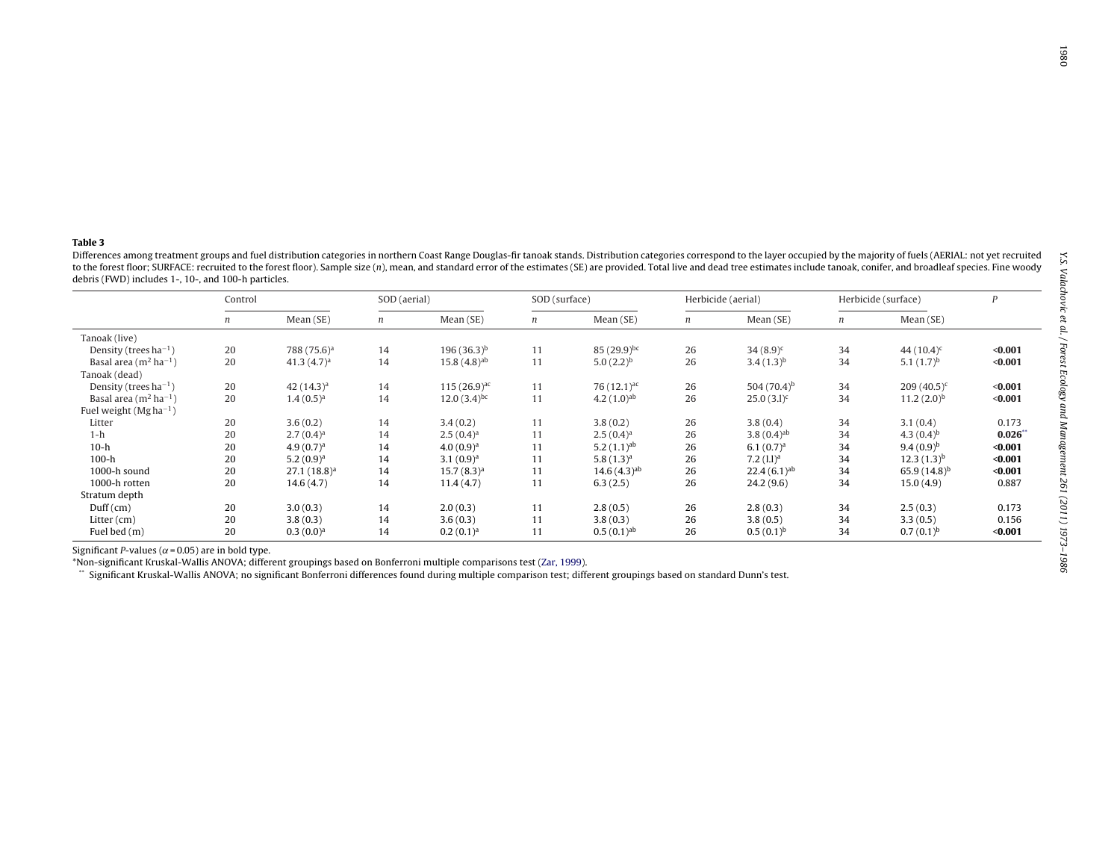<span id="page-7-0"></span>

|                                       | Control |                          | SOD (aerial)     |                           | SOD (surface)    |                          |                  | Herbicide (aerial)        | Herbicide (surface) |                  | P       |
|---------------------------------------|---------|--------------------------|------------------|---------------------------|------------------|--------------------------|------------------|---------------------------|---------------------|------------------|---------|
|                                       | n       | Mean (SE)                | $\boldsymbol{n}$ | Mean (SE)                 | $\boldsymbol{n}$ | Mean (SE)                | $\boldsymbol{n}$ | Mean (SE)                 | $\mathfrak n$       | Mean (SE)        |         |
| Tanoak (live)                         |         |                          |                  |                           |                  |                          |                  |                           |                     |                  |         |
| Density (trees $ha^{-1}$ )            | 20      | 788 (75.6) <sup>a</sup>  | 14               | $196(36.3)^{b}$           | 11               | 85 $(29.9)^{bc}$         | 26               | $34(8.9)^c$               | 34                  | 44 $(10.4)^c$    | $0.001$ |
| Basal area $(m2 ha-1)$                | 20      | $41.3(4.7)$ <sup>a</sup> | 14               | 15.8 $(4.8)^{ab}$         | 11               | $5.0(2.2)^{b}$           | 26               | $3.4(1.3)^{b}$            | 34                  | 5.1 $(1.7)^{b}$  | $0.001$ |
| Tanoak (dead)                         |         |                          |                  |                           |                  |                          |                  |                           |                     |                  |         |
| Density (trees ha <sup>-1</sup> )     | 20      | $42(14.3)^a$             | 14               | $115(26.9)^{ac}$          | 11               | $76(12.1)^{ac}$          | 26               | 504 $(70.4)^{b}$          | 34                  | $209(40.5)^c$    | $0.001$ |
| Basal area ( $m2$ ha <sup>-1</sup> )  | 20      | $1.4(0.5)^{a}$           | 14               | $12.0(3.4)$ <sup>bc</sup> | 11               | $4.2(1.0)^{ab}$          | 26               | $25.0(3.1)^c$             | 34                  | $11.2(2.0)^{b}$  | $0.001$ |
| Fuel weight ( $Mg$ ha <sup>-1</sup> ) |         |                          |                  |                           |                  |                          |                  |                           |                     |                  |         |
| Litter                                | 20      | 3.6(0.2)                 | 14               | 3.4(0.2)                  | 11               | 3.8(0.2)                 | 26               | 3.8(0.4)                  | 34                  | 3.1(0.4)         | 0.173   |
| $1-h$                                 | 20      | $2.7(0.4)^{a}$           | 14               | $2.5(0.4)^{a}$            | 11               | $2.5(0.4)^{a}$           | 26               | 3.8 $(0.4)$ <sup>ab</sup> | 34                  | 4.3 $(0.4)^{b}$  | 0.026   |
| $10-h$                                | 20      | $4.9(0.7)^a$             | 14               | $(4.0(0.9)$ <sup>a</sup>  | 11               | $5.2(1.1)$ <sup>ab</sup> | 26               | 6.1 $(0.7)^a$             | 34                  | $(9.4(0.9)^{b})$ | $0.001$ |
| $100-h$                               | 20      | $5.2(0.9)^a$             | 14               | $3.1(0.9)^a$              | 11               | $5.8(1.3)^a$             | 26               | 7.2 (1.1) <sup>a</sup>    | 34                  | $12.3(1.3)^{b}$  | $0.001$ |
| 1000-h sound                          | 20      | $27.1(18.8)^a$           | 14               | $15.7(8.3)^{a}$           | 11               | $14.6(4.3)^{ab}$         | 26               | 22.4(6.1) <sup>ab</sup>   | 34                  | $65.9(14.8)^{b}$ | $0.001$ |
| 1000-h rotten                         | 20      | 14.6(4.7)                | 14               | 11.4(4.7)                 | 11               | 6.3(2.5)                 | 26               | 24.2(9.6)                 | 34                  | 15.0(4.9)        | 0.887   |
| Stratum depth                         |         |                          |                  |                           |                  |                          |                  |                           |                     |                  |         |
| $Duff$ (cm)                           | 20      | 3.0(0.3)                 | 14               | 2.0(0.3)                  | 11               | 2.8(0.5)                 | 26               | 2.8(0.3)                  | 34                  | 2.5(0.3)         | 0.173   |
| Litter $(cm)$                         | 20      | 3.8(0.3)                 | 14               | 3.6(0.3)                  | 11               | 3.8(0.3)                 | 26               | 3.8(0.5)                  | 34                  | 3.3(0.5)         | 0.156   |
| Fuel bed (m)                          | 20      | $(0.3)(0.0)^a$           | 14               | $0.2(0.1)^a$              | 11               | 0.5(0.1) <sup>ab</sup>   | 26               | $0.5(0.1)^{b}$            | 34                  | $0.7(0.1)^{b}$   | $0.001$ |

Significant Kruskal-Wallis ANOVA; no significant Bonferroni differences found during multiple comparison test; different groupings based on standard Dunn's test.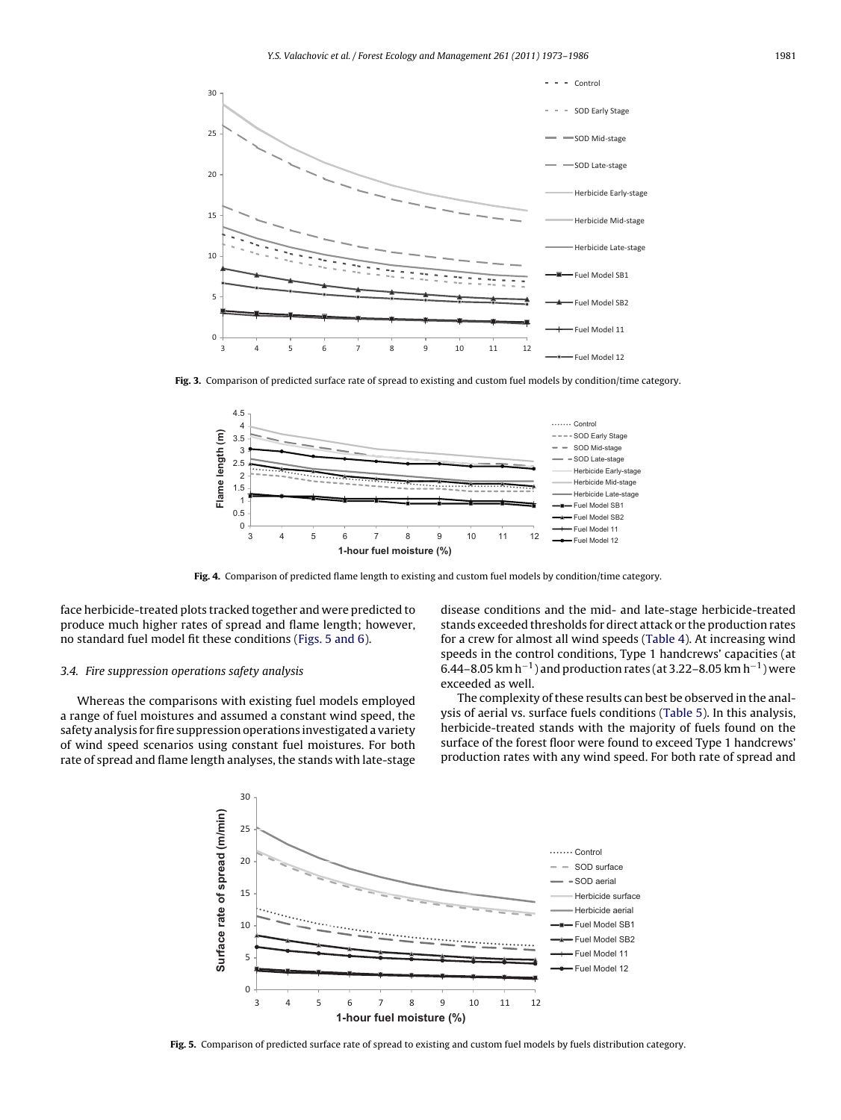<span id="page-8-0"></span>

**Fig. 3.** Comparison of predicted surface rate of spread to existing and custom fuel models by condition/time category.



**Fig. 4.** Comparison of predicted flame length to existing and custom fuel models by condition/time category.

face herbicide-treated plots tracked together and were predicted to produce much higher rates of spread and flame length; however, no standard fuel model fit these conditions (Figs. 5 and 6).

### 3.4. Fire suppression operations safety analysis

Whereas the comparisons with existing fuel models employed a range of fuel moistures and assumed a constant wind speed, the safety analysis for fire suppression operations investigated a variety of wind speed scenarios using constant fuel moistures. For both rate of spread and flame length analyses, the stands with late-stage disease conditions and the mid- and late-stage herbicide-treated stands exceeded thresholds for direct attack or the production rates for a crew for almost all wind speeds ([Table 4\).](#page-9-0) At increasing wind speeds in the control conditions, Type 1 handcrews' capacities (at 6.44–8.05 km h<sup>-1</sup>) and production rates (at 3.22–8.05 km h<sup>-1</sup>) were exceeded as well.

The complexity of these results can best be observed in the analysis of aerial vs. surface fuels conditions [\(Table 5\).](#page-10-0) In this analysis, herbicide-treated stands with the majority of fuels found on the surface of the forest floor were found to exceed Type 1 handcrews' production rates with any wind speed. For both rate of spread and



**Fig. 5.** Comparison of predicted surface rate of spread to existing and custom fuel models by fuels distribution category.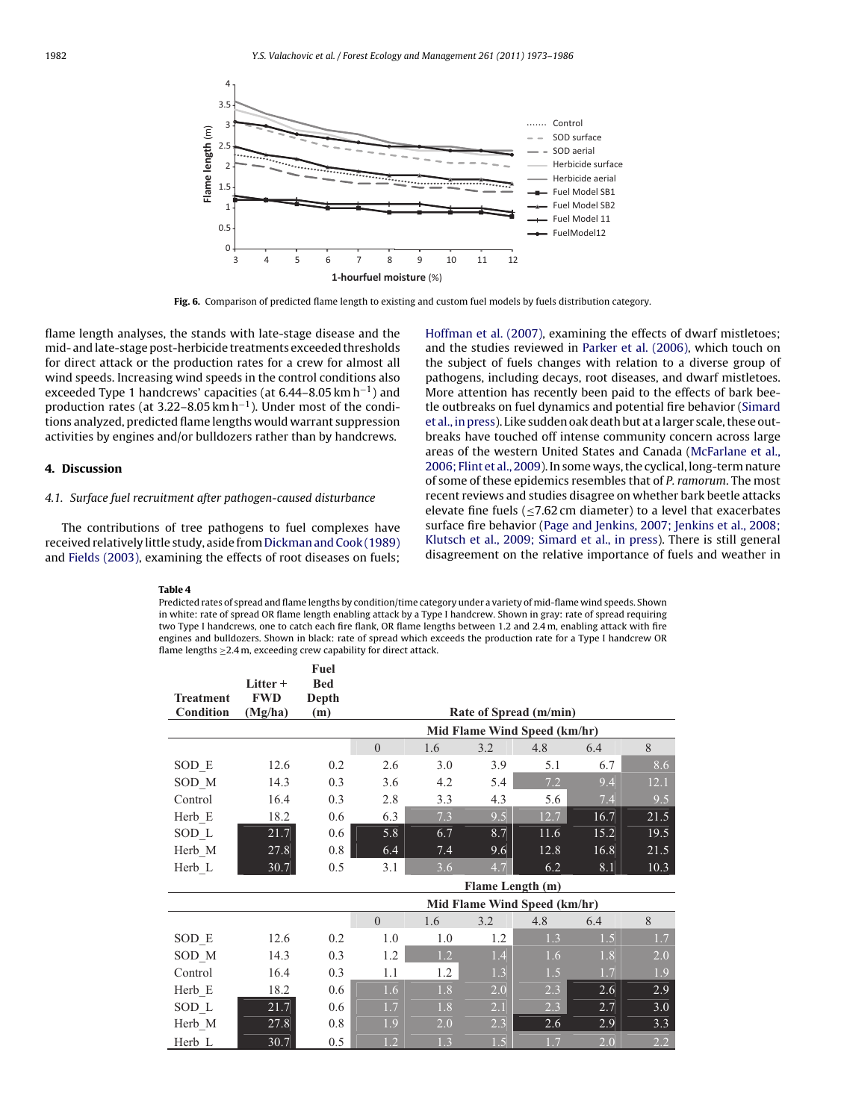<span id="page-9-0"></span>

**Fig. 6.** Comparison of predicted flame length to existing and custom fuel models by fuels distribution category.

flame length analyses, the stands with late-stage disease and the mid- and late-stage post-herbicide treatments exceeded thresholds for direct attack or the production rates for a crew for almost all wind speeds. Increasing wind speeds in the control conditions also exceeded Type 1 handcrews' capacities (at  $6.44-8.05$  km h<sup>-1</sup>) and production rates (at 3.22–8.05 km h<sup>-1</sup>). Under most of the conditions analyzed, predicted flame lengths would warrant suppression activities by engines and/or bulldozers rather than by handcrews.

# **4. Discussion**

# 4.1. Surface fuel recruitment after pathogen-caused disturbance

The contributions of tree pathogens to fuel complexes have received relatively little study, aside from[Dickman and Cook \(1989\)](#page-12-0) and [Fields \(2003\), e](#page-12-0)xamining the effects of root diseases on fuels;

[Hoffman et al. \(2007\),](#page-12-0) examining the effects of dwarf mistletoes; and the studies reviewed in [Parker et al. \(2006\),](#page-12-0) which touch on the subject of fuels changes with relation to a diverse group of pathogens, including decays, root diseases, and dwarf mistletoes. More attention has recently been paid to the effects of bark beetle outbreaks on fuel dynamics and potential fire behavior ([Simard](#page-13-0) [et al., in press\).](#page-13-0) Like sudden oak death but at a larger scale, these outbreaks have touched off intense community concern across large areas of the western United States and Canada [\(McFarlane et al.,](#page-12-0) [2006; Flint et al., 2009\).](#page-12-0) In some ways, the cyclical, long-term nature of some of these epidemics resembles that of P. ramorum. The most recent reviews and studies disagree on whether bark beetle attacks elevate fine fuels ( $\leq$ 7.62 cm diameter) to a level that exacerbates surface fire behavior [\(Page and Jenkins, 2007; Jenkins et al., 2008;](#page-12-0) [Klutsch et al., 2009; Simard et al., in press\).](#page-12-0) There is still general disagreement on the relative importance of fuels and weather in

### **Table 4**

Predicted rates of spread and flame lengths by condition/time category under a variety of mid-flame wind speeds. Shown in white: rate of spread OR flame length enabling attack by a Type I handcrew. Shown in gray: rate of spread requiring two Type I handcrews, one to catch each fire flank, OR flame lengths between 1.2 and 2.4 m, enabling attack with fire engines and bulldozers. Shown in black: rate of spread which exceeds the production rate for a Type I handcrew OR flame lengths ≥2.4 m, exceeding crew capability for direct attack.

| <b>Treatment</b> | Litter +<br><b>FWD</b> | Fuel<br><b>Bed</b><br>Depth |                        |     |                              |      |      |      |  |  |  |  |  |
|------------------|------------------------|-----------------------------|------------------------|-----|------------------------------|------|------|------|--|--|--|--|--|
| <b>Condition</b> | (Mg/ha)                | (m)                         | Rate of Spread (m/min) |     |                              |      |      |      |  |  |  |  |  |
|                  |                        |                             |                        |     | Mid Flame Wind Speed (km/hr) |      |      |      |  |  |  |  |  |
|                  |                        |                             | $\overline{0}$         | 1.6 | 3.2                          | 4.8  | 6.4  | 8    |  |  |  |  |  |
| SOD E            | 12.6                   | 0.2                         | 2.6                    | 3.0 | 3.9                          | 5.1  | 6.7  | 8.6  |  |  |  |  |  |
| SOD M            | 14.3                   | 0.3                         | 3.6                    | 4.2 | 5.4                          | 7.2  | 9.4  | 12.1 |  |  |  |  |  |
| Control          | 16.4                   | 0.3                         | 2.8                    | 3.3 | 4.3                          | 5.6  | 7.4  | 9.5  |  |  |  |  |  |
| Herb E           | 18.2                   | 0.6                         | 6.3                    | 7.3 | 9.5                          | 12.7 | 16.7 | 21.5 |  |  |  |  |  |
| $\text{SOD\_L}$  | 21.7                   | 0.6                         | 5.8                    | 6.7 | 8.7                          | 11.6 | 15.2 | 19.5 |  |  |  |  |  |
| Herb M           | 27.8                   | 0.8                         | 6.4                    | 7.4 | 9.6                          | 12.8 | 16.8 | 21.5 |  |  |  |  |  |
| Herb L           | 30.7                   | 0.5                         | 3.1                    | 3.6 | 4.7                          | 6.2  | 8.1  | 10.3 |  |  |  |  |  |
|                  |                        |                             |                        |     | Flame Length (m)             |      |      |      |  |  |  |  |  |
|                  |                        |                             |                        |     | Mid Flame Wind Speed (km/hr) |      |      |      |  |  |  |  |  |
|                  |                        |                             | $\Omega$               | 1.6 | 3.2                          | 4.8  | 6.4  | 8    |  |  |  |  |  |
| SOD E            | 12.6                   | 0.2                         | 1.0                    | 1.0 | 1.2                          | 1.3  | 1.5  | 1.7  |  |  |  |  |  |
| SOD M            | 14.3                   | 0.3                         | 1.2                    | 1.2 | 1.4                          | 1.6  | 1.8  | 2.0  |  |  |  |  |  |
| Control          | 16.4                   | 0.3                         | 1.1                    | 1.2 | 1.3                          | 1.5  | 1.7  | 1.9  |  |  |  |  |  |
| Herb E           | 18.2                   | 0.6                         | 1.6                    | 1.8 | 2.0                          | 2.3  | 2.6  | 2.9  |  |  |  |  |  |
| SOD L            | 21.7                   | $0.6^{\circ}$               | 1.7                    | 1.8 | 2.1                          | 2.3  | 2.7  | 3.0  |  |  |  |  |  |

Herb M 27.8 0.8 1.9 2.0 2.3 2.6 2.9 3.3 Herb L  $30.7$   $0.5$   $1.2$   $1.3$   $1.5$   $1.7$   $2.0$   $2.2$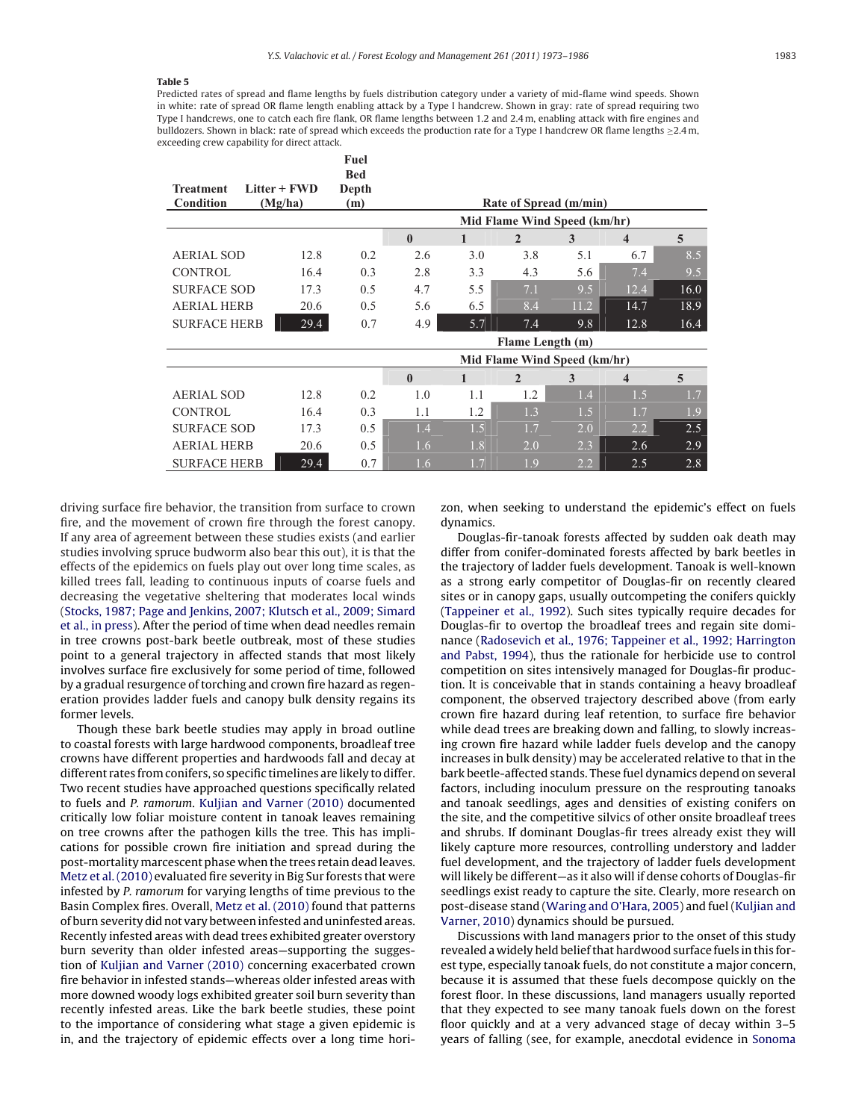## <span id="page-10-0"></span>**Table 5**

Predicted rates of spread and flame lengths by fuels distribution category under a variety of mid-flame wind speeds. Shown in white: rate of spread OR flame length enabling attack by a Type I handcrew. Shown in gray: rate of spread requiring two Type I handcrews, one to catch each fire flank, OR flame lengths between 1.2 and 2.4 m, enabling attack with fire engines and bulldozers. Shown in black: rate of spread which exceeds the production rate for a Type I handcrew OR flame lengths  $\geq$ 2.4 m, exceeding crew capability for direct attack.

| <b>Treatment</b><br><b>Condition</b> | $Litter + FWD$<br>(Mg/ha) | Fuel<br><b>Bed</b><br>Depth<br>(m) |                              |                              | Rate of Spread (m/min) |      |                         |                |  |  |  |  |  |
|--------------------------------------|---------------------------|------------------------------------|------------------------------|------------------------------|------------------------|------|-------------------------|----------------|--|--|--|--|--|
|                                      |                           |                                    | Mid Flame Wind Speed (km/hr) |                              |                        |      |                         |                |  |  |  |  |  |
|                                      |                           |                                    | $\mathbf{0}$                 | $\mathbf{1}$                 | $\mathbf{2}$           | 3    | $\overline{\mathbf{4}}$ | $\overline{5}$ |  |  |  |  |  |
| <b>AERIAL SOD</b>                    | 12.8                      | 0.2                                | 2.6                          | 3.0                          | 3.8                    | 5.1  | 6.7                     | 8.5            |  |  |  |  |  |
| <b>CONTROL</b>                       | 16.4                      | 0.3                                | 2.8                          | 3.3                          | 4.3                    | 5.6  | 7.4                     | 9.5            |  |  |  |  |  |
| <b>SURFACE SOD</b>                   | 17.3                      | 0.5                                | 4.7                          | 5.5                          | 7.1                    | 9.5  | 12.4                    | 16.0           |  |  |  |  |  |
| <b>AERIAL HERB</b>                   | 20.6                      | 0.5                                | 5.6                          | 6.5                          | 8.4                    | 11.2 | 14.7                    | 18.9           |  |  |  |  |  |
| <b>SURFACE HERB</b>                  | 29.4                      | 0.7                                | 4.9                          | 5.7                          | 7.4                    | 9.8  | 12.8                    | 16.4           |  |  |  |  |  |
|                                      |                           |                                    |                              |                              | Flame Length (m)       |      |                         |                |  |  |  |  |  |
|                                      |                           |                                    |                              | Mid Flame Wind Speed (km/hr) |                        |      |                         |                |  |  |  |  |  |
|                                      |                           |                                    | $\mathbf{0}$                 | $\mathbf{1}$                 | $\overline{2}$         | 3    | $\overline{\mathbf{4}}$ | $\overline{5}$ |  |  |  |  |  |
| <b>AERIAL SOD</b>                    | 12.8                      | 0.2                                | 1.0                          | 1.1                          | 1.2                    | 1.4  | 1.5                     | 1.7            |  |  |  |  |  |
| <b>CONTROL</b>                       | 16.4                      | 0.3                                | 1.1                          | 1.2                          | 1.3                    | 1.5  | 1.7                     | 1.9            |  |  |  |  |  |
| <b>SURFACE SOD</b>                   | 17.3                      | 0.5                                | 1.4                          | 1.5                          | 1.7                    | 2.0  | 2.2                     | 2.5            |  |  |  |  |  |
| <b>AERIAL HERB</b>                   | 20.6                      | 0.5                                | 1.6                          | 1.8                          | 2.0                    | 2.3  | 2.6                     | 2.9            |  |  |  |  |  |
| <b>SURFACE HERB</b>                  | 29.4                      | 0.7                                | 1.6                          | 1.7                          | 1.9                    | 2.2  | 2.5                     | 2.8            |  |  |  |  |  |

driving surface fire behavior, the transition from surface to crown fire, and the movement of crown fire through the forest canopy. If any area of agreement between these studies exists (and earlier studies involving spruce budworm also bear this out), it is that the effects of the epidemics on fuels play out over long time scales, as killed trees fall, leading to continuous inputs of coarse fuels and decreasing the vegetative sheltering that moderates local winds ([Stocks, 1987; Page and Jenkins, 2007; Klutsch et al., 2009; Simard](#page-13-0) [et al., in press\).](#page-13-0) After the period of time when dead needles remain in tree crowns post-bark beetle outbreak, most of these studies point to a general trajectory in affected stands that most likely involves surface fire exclusively for some period of time, followed by a gradual resurgence of torching and crown fire hazard as regeneration provides ladder fuels and canopy bulk density regains its former levels.

Though these bark beetle studies may apply in broad outline to coastal forests with large hardwood components, broadleaf tree crowns have different properties and hardwoods fall and decay at different rates from conifers, so specific timelines are likely to differ. Two recent studies have approached questions specifically related to fuels and P. ramorum. [Kuljian and Varner \(2010\)](#page-12-0) documented critically low foliar moisture content in tanoak leaves remaining on tree crowns after the pathogen kills the tree. This has implications for possible crown fire initiation and spread during the post-mortalitymarcescent phase when the trees retain dead leaves. [Metz et al. \(2010\)](#page-12-0) evaluated fire severity in Big Sur forests that were infested by P. ramorum for varying lengths of time previous to the Basin Complex fires. Overall, [Metz et al. \(2010\)](#page-12-0) found that patterns of burn severity did not vary between infested and uninfested areas. Recently infested areas with dead trees exhibited greater overstory burn severity than older infested areas—supporting the suggestion of [Kuljian and Varner \(2010\)](#page-12-0) concerning exacerbated crown fire behavior in infested stands—whereas older infested areas with more downed woody logs exhibited greater soil burn severity than recently infested areas. Like the bark beetle studies, these point to the importance of considering what stage a given epidemic is in, and the trajectory of epidemic effects over a long time horizon, when seeking to understand the epidemic's effect on fuels dynamics.

Douglas-fir-tanoak forests affected by sudden oak death may differ from conifer-dominated forests affected by bark beetles in the trajectory of ladder fuels development. Tanoak is well-known as a strong early competitor of Douglas-fir on recently cleared sites or in canopy gaps, usually outcompeting the conifers quickly [\(Tappeiner et al., 1992\).](#page-13-0) Such sites typically require decades for Douglas-fir to overtop the broadleaf trees and regain site dominance [\(Radosevich et al., 1976; Tappeiner et al., 1992; Harrington](#page-12-0) [and Pabst, 1994\),](#page-12-0) thus the rationale for herbicide use to control competition on sites intensively managed for Douglas-fir production. It is conceivable that in stands containing a heavy broadleaf component, the observed trajectory described above (from early crown fire hazard during leaf retention, to surface fire behavior while dead trees are breaking down and falling, to slowly increasing crown fire hazard while ladder fuels develop and the canopy increases in bulk density) may be accelerated relative to that in the bark beetle-affected stands. These fuel dynamics depend on several factors, including inoculum pressure on the resprouting tanoaks and tanoak seedlings, ages and densities of existing conifers on the site, and the competitive silvics of other onsite broadleaf trees and shrubs. If dominant Douglas-fir trees already exist they will likely capture more resources, controlling understory and ladder fuel development, and the trajectory of ladder fuels development will likely be different—as it also will if dense cohorts of Douglas-fir seedlings exist ready to capture the site. Clearly, more research on post-disease stand [\(Waring and O'Hara, 2005\) a](#page-13-0)nd fuel ([Kuljian and](#page-12-0) [Varner, 2010\)](#page-12-0) dynamics should be pursued.

Discussions with land managers prior to the onset of this study revealed a widely held belief that hardwood surface fuels in this forest type, especially tanoak fuels, do not constitute a major concern, because it is assumed that these fuels decompose quickly on the forest floor. In these discussions, land managers usually reported that they expected to see many tanoak fuels down on the forest floor quickly and at a very advanced stage of decay within 3–5 years of falling (see, for example, anecdotal evidence in [Sonoma](#page-13-0)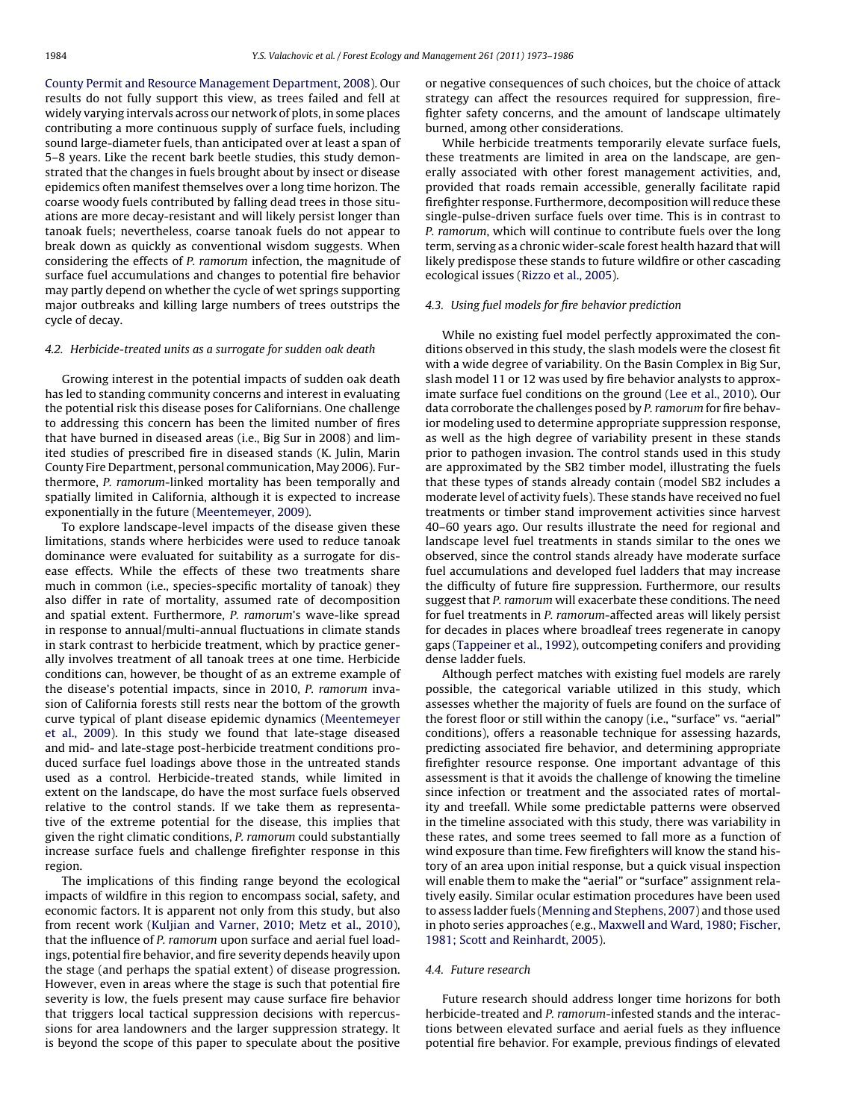[County Permit and Resource Management Department, 2008\).](#page-13-0) Our results do not fully support this view, as trees failed and fell at widely varying intervals across our network of plots, in some places contributing a more continuous supply of surface fuels, including sound large-diameter fuels, than anticipated over at least a span of 5–8 years. Like the recent bark beetle studies, this study demonstrated that the changes in fuels brought about by insect or disease epidemics often manifest themselves over a long time horizon. The coarse woody fuels contributed by falling dead trees in those situations are more decay-resistant and will likely persist longer than tanoak fuels; nevertheless, coarse tanoak fuels do not appear to break down as quickly as conventional wisdom suggests. When considering the effects of P. ramorum infection, the magnitude of surface fuel accumulations and changes to potential fire behavior may partly depend on whether the cycle of wet springs supporting major outbreaks and killing large numbers of trees outstrips the cycle of decay.

# 4.2. Herbicide-treated units as a surrogate for sudden oak death

Growing interest in the potential impacts of sudden oak death has led to standing community concerns and interest in evaluating the potential risk this disease poses for Californians. One challenge to addressing this concern has been the limited number of fires that have burned in diseased areas (i.e., Big Sur in 2008) and limited studies of prescribed fire in diseased stands (K. Julin, Marin County Fire Department, personal communication, May 2006). Furthermore, P. ramorum-linked mortality has been temporally and spatially limited in California, although it is expected to increase exponentially in the future [\(Meentemeyer, 2009\).](#page-12-0)

To explore landscape-level impacts of the disease given these limitations, stands where herbicides were used to reduce tanoak dominance were evaluated for suitability as a surrogate for disease effects. While the effects of these two treatments share much in common (i.e., species-specific mortality of tanoak) they also differ in rate of mortality, assumed rate of decomposition and spatial extent. Furthermore, P. ramorum's wave-like spread in response to annual/multi-annual fluctuations in climate stands in stark contrast to herbicide treatment, which by practice generally involves treatment of all tanoak trees at one time. Herbicide conditions can, however, be thought of as an extreme example of the disease's potential impacts, since in 2010, P. ramorum invasion of California forests still rests near the bottom of the growth curve typical of plant disease epidemic dynamics [\(Meentemeyer](#page-12-0) [et al., 2009\).](#page-12-0) In this study we found that late-stage diseased and mid- and late-stage post-herbicide treatment conditions produced surface fuel loadings above those in the untreated stands used as a control. Herbicide-treated stands, while limited in extent on the landscape, do have the most surface fuels observed relative to the control stands. If we take them as representative of the extreme potential for the disease, this implies that given the right climatic conditions, P. ramorum could substantially increase surface fuels and challenge firefighter response in this region.

The implications of this finding range beyond the ecological impacts of wildfire in this region to encompass social, safety, and economic factors. It is apparent not only from this study, but also from recent work [\(Kuljian and Varner, 2010; Metz et al., 2010\),](#page-12-0) that the influence of P. ramorum upon surface and aerial fuel loadings, potential fire behavior, and fire severity depends heavily upon the stage (and perhaps the spatial extent) of disease progression. However, even in areas where the stage is such that potential fire severity is low, the fuels present may cause surface fire behavior that triggers local tactical suppression decisions with repercussions for area landowners and the larger suppression strategy. It is beyond the scope of this paper to speculate about the positive

or negative consequences of such choices, but the choice of attack strategy can affect the resources required for suppression, firefighter safety concerns, and the amount of landscape ultimately burned, among other considerations.

While herbicide treatments temporarily elevate surface fuels, these treatments are limited in area on the landscape, are generally associated with other forest management activities, and, provided that roads remain accessible, generally facilitate rapid firefighter response. Furthermore, decomposition will reduce these single-pulse-driven surface fuels over time. This is in contrast to P. ramorum, which will continue to contribute fuels over the long term, serving as a chronic wider-scale forest health hazard that will likely predispose these stands to future wildfire or other cascading ecological issues [\(Rizzo et al., 2005\).](#page-12-0)

# 4.3. Using fuel models for fire behavior prediction

While no existing fuel model perfectly approximated the conditions observed in this study, the slash models were the closest fit with a wide degree of variability. On the Basin Complex in Big Sur, slash model 11 or 12 was used by fire behavior analysts to approximate surface fuel conditions on the ground [\(Lee et al., 2010\).](#page-12-0) Our data corroborate the challenges posed by P. ramorum for fire behavior modeling used to determine appropriate suppression response, as well as the high degree of variability present in these stands prior to pathogen invasion. The control stands used in this study are approximated by the SB2 timber model, illustrating the fuels that these types of stands already contain (model SB2 includes a moderate level of activity fuels). These stands have received no fuel treatments or timber stand improvement activities since harvest 40–60 years ago. Our results illustrate the need for regional and landscape level fuel treatments in stands similar to the ones we observed, since the control stands already have moderate surface fuel accumulations and developed fuel ladders that may increase the difficulty of future fire suppression. Furthermore, our results suggest that P. ramorum will exacerbate these conditions. The need for fuel treatments in P. ramorum-affected areas will likely persist for decades in places where broadleaf trees regenerate in canopy gaps ([Tappeiner et al., 1992\),](#page-13-0) outcompeting conifers and providing dense ladder fuels.

Although perfect matches with existing fuel models are rarely possible, the categorical variable utilized in this study, which assesses whether the majority of fuels are found on the surface of the forest floor or still within the canopy (i.e., "surface" vs. "aerial" conditions), offers a reasonable technique for assessing hazards, predicting associated fire behavior, and determining appropriate firefighter resource response. One important advantage of this assessment is that it avoids the challenge of knowing the timeline since infection or treatment and the associated rates of mortality and treefall. While some predictable patterns were observed in the timeline associated with this study, there was variability in these rates, and some trees seemed to fall more as a function of wind exposure than time. Few firefighters will know the stand history of an area upon initial response, but a quick visual inspection will enable them to make the "aerial" or "surface" assignment relatively easily. Similar ocular estimation procedures have been used to assess ladder fuels [\(Menning and Stephens, 2007\) a](#page-12-0)nd those used in photo series approaches (e.g., [Maxwell and Ward, 1980; Fischer,](#page-12-0) [1981; Scott and Reinhardt, 2005\).](#page-12-0)

#### 4.4. Future research

Future research should address longer time horizons for both herbicide-treated and P. ramorum-infested stands and the interactions between elevated surface and aerial fuels as they influence potential fire behavior. For example, previous findings of elevated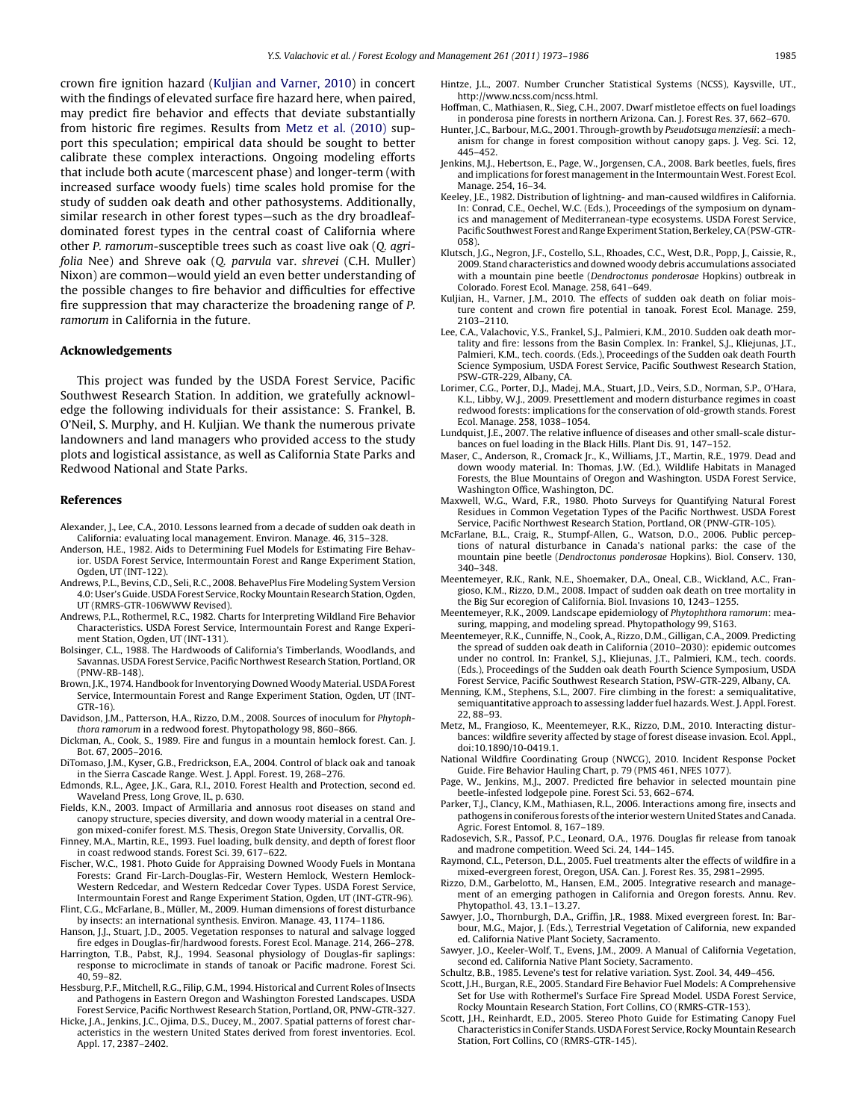<span id="page-12-0"></span>crown fire ignition hazard (Kuljian and Varner, 2010) in concert with the findings of elevated surface fire hazard here, when paired, may predict fire behavior and effects that deviate substantially from historic fire regimes. Results from Metz et al. (2010) support this speculation; empirical data should be sought to better calibrate these complex interactions. Ongoing modeling efforts that include both acute (marcescent phase) and longer-term (with increased surface woody fuels) time scales hold promise for the study of sudden oak death and other pathosystems. Additionally, similar research in other forest types—such as the dry broadleafdominated forest types in the central coast of California where other P. ramorum-susceptible trees such as coast live oak (Q. agrifolia Nee) and Shreve oak (Q. parvula var. shrevei (C.H. Muller) Nixon) are common—would yield an even better understanding of the possible changes to fire behavior and difficulties for effective fire suppression that may characterize the broadening range of P. ramorum in California in the future.

## **Acknowledgements**

This project was funded by the USDA Forest Service, Pacific Southwest Research Station. In addition, we gratefully acknowledge the following individuals for their assistance: S. Frankel, B. O'Neil, S. Murphy, and H. Kuljian. We thank the numerous private landowners and land managers who provided access to the study plots and logistical assistance, as well as California State Parks and Redwood National and State Parks.

# **References**

- Alexander, J., Lee, C.A., 2010. Lessons learned from a decade of sudden oak death in California: evaluating local management. Environ. Manage. 46, 315–328.
- Anderson, H.E., 1982. Aids to Determining Fuel Models for Estimating Fire Behavior. USDA Forest Service, Intermountain Forest and Range Experiment Station, Ogden, UT (INT-122).
- Andrews, P.L., Bevins, C.D., Seli, R.C., 2008. BehavePlus Fire Modeling System Version 4.0: User's Guide. USDA Forest Service, RockyMountain Research Station, Ogden, UT (RMRS-GTR-106WWW Revised).
- Andrews, P.L., Rothermel, R.C., 1982. Charts for Interpreting Wildland Fire Behavior Characteristics. USDA Forest Service, Intermountain Forest and Range Experiment Station, Ogden, UT (INT-131).
- Bolsinger, C.L., 1988. The Hardwoods of California's Timberlands, Woodlands, and Savannas. USDA Forest Service, Pacific Northwest Research Station, Portland, OR (PNW-RB-148).
- Brown, J.K., 1974. Handbook for Inventorying Downed Woody Material. USDA Forest Service, Intermountain Forest and Range Experiment Station, Ogden, UT (INT-GTR-16).
- Davidson, J.M., Patterson, H.A., Rizzo, D.M., 2008. Sources of inoculum for Phytophthora ramorum in a redwood forest. Phytopathology 98, 860–866.
- Dickman, A., Cook, S., 1989. Fire and fungus in a mountain hemlock forest. Can. J. Bot. 67, 2005–2016.
- DiTomaso, J.M., Kyser, G.B., Fredrickson, E.A., 2004. Control of black oak and tanoak in the Sierra Cascade Range. West. J. Appl. Forest. 19, 268–276.
- Edmonds, R.L., Agee, J.K., Gara, R.I., 2010. Forest Health and Protection, second ed. Waveland Press, Long Grove, IL, p. 630.
- Fields, K.N., 2003. Impact of Armillaria and annosus root diseases on stand and canopy structure, species diversity, and down woody material in a central Oregon mixed-conifer forest. M.S. Thesis, Oregon State University, Corvallis, OR.
- Finney, M.A., Martin, R.E., 1993. Fuel loading, bulk density, and depth of forest floor in coast redwood stands. Forest Sci. 39, 617–622.
- Fischer, W.C., 1981. Photo Guide for Appraising Downed Woody Fuels in Montana Forests: Grand Fir-Larch-Douglas-Fir, Western Hemlock, Western Hemlock-Western Redcedar, and Western Redcedar Cover Types. USDA Forest Service, Intermountain Forest and Range Experiment Station, Ogden, UT (INT-GTR-96).
- Flint, C.G., McFarlane, B., Müller, M., 2009. Human dimensions of forest disturbance by insects: an international synthesis. Environ. Manage. 43, 1174–1186.
- Hanson, J.J., Stuart, J.D., 2005. Vegetation responses to natural and salvage logged fire edges in Douglas-fir/hardwood forests. Forest Ecol. Manage. 214, 266–278.
- Harrington, T.B., Pabst, R.J., 1994. Seasonal physiology of Douglas-fir saplings: response to microclimate in stands of tanoak or Pacific madrone. Forest Sci. 40, 59–82.
- Hessburg, P.F., Mitchell, R.G., Filip, G.M., 1994. Historical and Current Roles of Insects and Pathogens in Eastern Oregon and Washington Forested Landscapes. USDA Forest Service, Pacific Northwest Research Station, Portland, OR, PNW-GTR-327.
- Hicke, J.A., Jenkins, J.C., Ojima, D.S., Ducey, M., 2007. Spatial patterns of forest characteristics in the western United States derived from forest inventories. Ecol. Appl. 17, 2387–2402.
- Hintze, J.L., 2007. Number Cruncher Statistical Systems (NCSS), Kaysville, UT., http://www.ncss.com/ncss.html.
- Hoffman, C., Mathiasen, R., Sieg, C.H., 2007. Dwarf mistletoe effects on fuel loadings in ponderosa pine forests in northern Arizona. Can. J. Forest Res. 37, 662–670.
- Hunter, J.C., Barbour, M.G., 2001. Through-growth by Pseudotsuga menziesii: a mechanism for change in forest composition without canopy gaps. J. Veg. Sci. 12, 445–452.
- Jenkins, M.J., Hebertson, E., Page, W., Jorgensen, C.A., 2008. Bark beetles, fuels, fires and implications for forest management in the Intermountain West. Forest Ecol. Manage. 254, 16–34.
- Keeley, J.E., 1982. Distribution of lightning- and man-caused wildfires in California. In: Conrad, C.E., Oechel, W.C. (Eds.), Proceedings of the symposium on dynamics and management of Mediterranean-type ecosystems. USDA Forest Service, Pacific Southwest Forest and Range Experiment Station, Berkeley, CA (PSW-GTR-058).
- Klutsch, J.G., Negron, J.F., Costello, S.L., Rhoades, C.C., West, D.R., Popp, J., Caissie, R., 2009. Stand characteristics and downed woody debris accumulations associated with a mountain pine beetle (Dendroctonus ponderosae Hopkins) outbreak in Colorado. Forest Ecol. Manage. 258, 641–649.
- Kuljian, H., Varner, J.M., 2010. The effects of sudden oak death on foliar moisture content and crown fire potential in tanoak. Forest Ecol. Manage. 259, 2103–2110.
- Lee, C.A., Valachovic, Y.S., Frankel, S.J., Palmieri, K.M., 2010. Sudden oak death mortality and fire: lessons from the Basin Complex. In: Frankel, S.J., Kliejunas, J.T., Palmieri, K.M., tech. coords. (Eds.), Proceedings of the Sudden oak death Fourth Science Symposium, USDA Forest Service, Pacific Southwest Research Station, PSW-GTR-229, Albany, CA.
- Lorimer, C.G., Porter, D.J., Madej, M.A., Stuart, J.D., Veirs, S.D., Norman, S.P., O'Hara, K.L., Libby, W.J., 2009. Presettlement and modern disturbance regimes in coast redwood forests: implications for the conservation of old-growth stands. Forest Ecol. Manage. 258, 1038–1054.
- Lundquist, J.E., 2007. The relative influence of diseases and other small-scale disturbances on fuel loading in the Black Hills. Plant Dis. 91, 147–152.
- Maser, C., Anderson, R., Cromack Jr., K., Williams, J.T., Martin, R.E., 1979. Dead and down woody material. In: Thomas, J.W. (Ed.), Wildlife Habitats in Managed Forests, the Blue Mountains of Oregon and Washington. USDA Forest Service, Washington Office, Washington, DC.
- Maxwell, W.G., Ward, F.R., 1980. Photo Surveys for Quantifying Natural Forest Residues in Common Vegetation Types of the Pacific Northwest. USDA Forest Service, Pacific Northwest Research Station, Portland, OR (PNW-GTR-105).
- McFarlane, B.L., Craig, R., Stumpf-Allen, G., Watson, D.O., 2006. Public perceptions of natural disturbance in Canada's national parks: the case of the mountain pine beetle (Dendroctonus ponderosae Hopkins). Biol. Conserv. 130, 340–348.
- Meentemeyer, R.K., Rank, N.E., Shoemaker, D.A., Oneal, C.B., Wickland, A.C., Frangioso, K.M., Rizzo, D.M., 2008. Impact of sudden oak death on tree mortality in the Big Sur ecoregion of California. Biol. Invasions 10, 1243–1255.
- Meentemeyer, R.K., 2009. Landscape epidemiology of Phytophthora ramorum: measuring, mapping, and modeling spread. Phytopathology 99, S163.
- Meentemeyer, R.K., Cunniffe, N., Cook, A., Rizzo, D.M., Gilligan, C.A., 2009. Predicting the spread of sudden oak death in California (2010–2030): epidemic outcomes under no control. In: Frankel, S.J., Kliejunas, J.T., Palmieri, K.M., tech. coords. (Eds.), Proceedings of the Sudden oak death Fourth Science Symposium, USDA Forest Service, Pacific Southwest Research Station, PSW-GTR-229, Albany, CA.
- Menning, K.M., Stephens, S.L., 2007. Fire climbing in the forest: a semiqualitative, semiquantitative approach to assessing ladder fuel hazards.West. J. Appl. Forest. 22, 88–93.
- Metz, M., Frangioso, K., Meentemeyer, R.K., Rizzo, D.M., 2010. Interacting disturbances: wildfire severity affected by stage of forest disease invasion. Ecol. Appl., doi:10.1890/10-0419.1.
- National Wildfire Coordinating Group (NWCG), 2010. Incident Response Pocket Guide. Fire Behavior Hauling Chart, p. 79 (PMS 461, NFES 1077).
- Page, W., Jenkins, M.J., 2007. Predicted fire behavior in selected mountain pine beetle-infested lodgepole pine. Forest Sci. 53, 662–674.
- Parker, T.J., Clancy, K.M., Mathiasen, R.L., 2006. Interactions among fire, insects and pathogens in coniferous forests of the interior western United States and Canada. Agric. Forest Entomol. 8, 167–189.
- Radosevich, S.R., Passof, P.C., Leonard, O.A., 1976. Douglas fir release from tanoak and madrone competition. Weed Sci. 24, 144–145.
- Raymond, C.L., Peterson, D.L., 2005. Fuel treatments alter the effects of wildfire in a mixed-evergreen forest, Oregon, USA. Can. J. Forest Res. 35, 2981–2995.
- Rizzo, D.M., Garbelotto, M., Hansen, E.M., 2005. Integrative research and management of an emerging pathogen in California and Oregon forests. Annu. Rev. Phytopathol. 43, 13.1–13.27.
- Sawyer, J.O., Thornburgh, D.A., Griffin, J.R., 1988. Mixed evergreen forest. In: Barbour, M.G., Major, J. (Eds.), Terrestrial Vegetation of California, new expanded ed. California Native Plant Society, Sacramento.
- Sawyer, J.O., Keeler-Wolf, T., Evens, J.M., 2009. A Manual of California Vegetation, second ed. California Native Plant Society, Sacramento.
- Schultz, B.B., 1985. Levene's test for relative variation. Syst. Zool. 34, 449–456.
- Scott, J.H., Burgan, R.E., 2005. Standard Fire Behavior Fuel Models: A Comprehensive Set for Use with Rothermel's Surface Fire Spread Model. USDA Forest Service, Rocky Mountain Research Station, Fort Collins, CO (RMRS-GTR-153).
- Scott, J.H., Reinhardt, E.D., 2005. Stereo Photo Guide for Estimating Canopy Fuel Characteristics in Conifer Stands. USDA Forest Service, Rocky Mountain Research Station, Fort Collins, CO (RMRS-GTR-145).